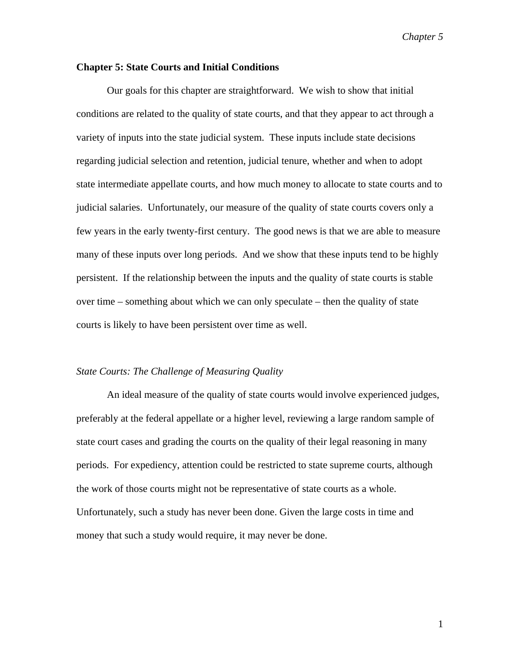## **Chapter 5: State Courts and Initial Conditions**

Our goals for this chapter are straightforward. We wish to show that initial conditions are related to the quality of state courts, and that they appear to act through a variety of inputs into the state judicial system. These inputs include state decisions regarding judicial selection and retention, judicial tenure, whether and when to adopt state intermediate appellate courts, and how much money to allocate to state courts and to judicial salaries. Unfortunately, our measure of the quality of state courts covers only a few years in the early twenty-first century. The good news is that we are able to measure many of these inputs over long periods. And we show that these inputs tend to be highly persistent. If the relationship between the inputs and the quality of state courts is stable over time – something about which we can only speculate – then the quality of state courts is likely to have been persistent over time as well.

#### *State Courts: The Challenge of Measuring Quality*

An ideal measure of the quality of state courts would involve experienced judges, preferably at the federal appellate or a higher level, reviewing a large random sample of state court cases and grading the courts on the quality of their legal reasoning in many periods. For expediency, attention could be restricted to state supreme courts, although the work of those courts might not be representative of state courts as a whole. Unfortunately, such a study has never been done. Given the large costs in time and money that such a study would require, it may never be done.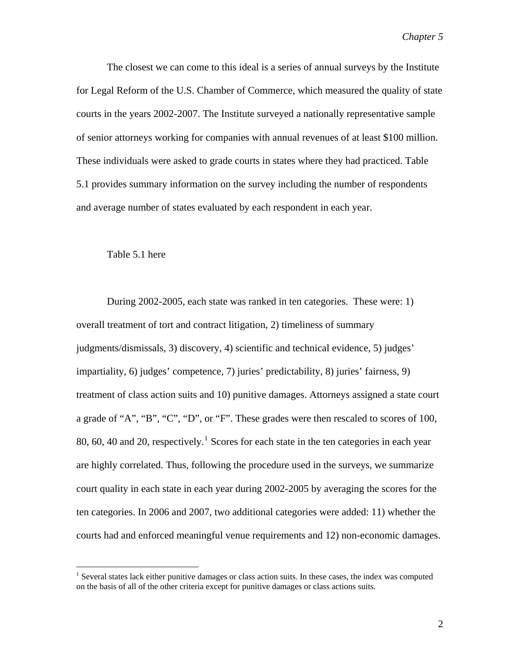The closest we can come to this ideal is a series of annual surveys by the Institute for Legal Reform of the U.S. Chamber of Commerce, which measured the quality of state courts in the years 2002-2007. The Institute surveyed a nationally representative sample of senior attorneys working for companies with annual revenues of at least \$100 million. These individuals were asked to grade courts in states where they had practiced. Table 5.1 provides summary information on the survey including the number of respondents and average number of states evaluated by each respondent in each year.

### Table 5.1 here

 $\overline{a}$ 

During 2002-2005, each state was ranked in ten categories. These were: 1) overall treatment of tort and contract litigation, 2) timeliness of summary judgments/dismissals, 3) discovery, 4) scientific and technical evidence, 5) judges' impartiality, 6) judges' competence, 7) juries' predictability, 8) juries' fairness, 9) treatment of class action suits and 10) punitive damages. Attorneys assigned a state court a grade of "A", "B", "C", "D", or "F". These grades were then rescaled to scores of 100, 80, 60, 40 and 20, respectively.<sup>[1](#page-1-0)</sup> Scores for each state in the ten categories in each year are highly correlated. Thus, following the procedure used in the surveys, we summarize court quality in each state in each year during 2002-2005 by averaging the scores for the ten categories. In 2006 and 2007, two additional categories were added: 11) whether the courts had and enforced meaningful venue requirements and 12) non-economic damages.

<span id="page-1-0"></span><sup>&</sup>lt;sup>1</sup> Several states lack either punitive damages or class action suits. In these cases, the index was computed on the basis of all of the other criteria except for punitive damages or class actions suits.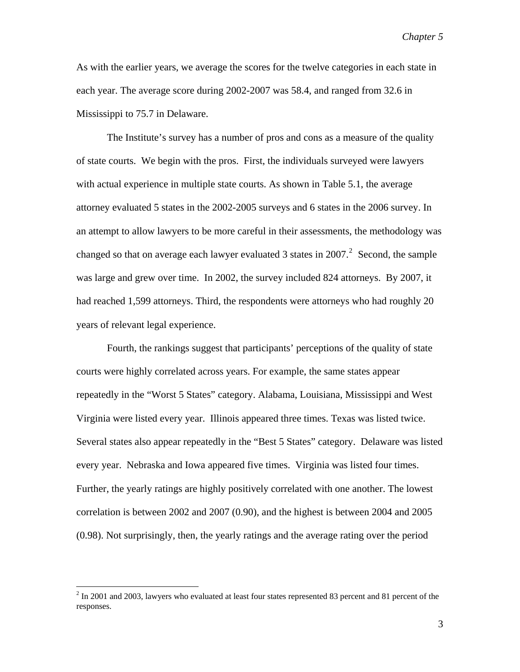As with the earlier years, we average the scores for the twelve categories in each state in each year. The average score during 2002-2007 was 58.4, and ranged from 32.6 in Mississippi to 75.7 in Delaware.

The Institute's survey has a number of pros and cons as a measure of the quality of state courts. We begin with the pros. First, the individuals surveyed were lawyers with actual experience in multiple state courts. As shown in Table 5.1, the average attorney evaluated 5 states in the 2002-2005 surveys and 6 states in the 2006 survey. In an attempt to allow lawyers to be more careful in their assessments, the methodology was changed so that on average each lawyer evaluated 3 states in  $2007$  $2007$ .<sup>2</sup> Second, the sample was large and grew over time. In 2002, the survey included 824 attorneys. By 2007, it had reached 1,599 attorneys. Third, the respondents were attorneys who had roughly 20 years of relevant legal experience.

Fourth, the rankings suggest that participants' perceptions of the quality of state courts were highly correlated across years. For example, the same states appear repeatedly in the "Worst 5 States" category. Alabama, Louisiana, Mississippi and West Virginia were listed every year. Illinois appeared three times. Texas was listed twice. Several states also appear repeatedly in the "Best 5 States" category. Delaware was listed every year. Nebraska and Iowa appeared five times. Virginia was listed four times. Further, the yearly ratings are highly positively correlated with one another. The lowest correlation is between 2002 and 2007 (0.90), and the highest is between 2004 and 2005 (0.98). Not surprisingly, then, the yearly ratings and the average rating over the period

<span id="page-2-0"></span> $2$  In 2001 and 2003, lawyers who evaluated at least four states represented 83 percent and 81 percent of the responses.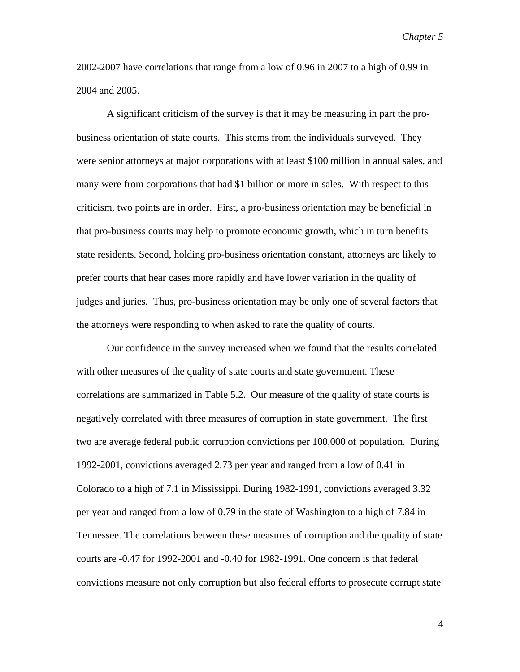2002-2007 have correlations that range from a low of 0.96 in 2007 to a high of 0.99 in 2004 and 2005.

A significant criticism of the survey is that it may be measuring in part the probusiness orientation of state courts. This stems from the individuals surveyed. They were senior attorneys at major corporations with at least \$100 million in annual sales, and many were from corporations that had \$1 billion or more in sales. With respect to this criticism, two points are in order. First, a pro-business orientation may be beneficial in that pro-business courts may help to promote economic growth, which in turn benefits state residents. Second, holding pro-business orientation constant, attorneys are likely to prefer courts that hear cases more rapidly and have lower variation in the quality of judges and juries. Thus, pro-business orientation may be only one of several factors that the attorneys were responding to when asked to rate the quality of courts.

Our confidence in the survey increased when we found that the results correlated with other measures of the quality of state courts and state government. These correlations are summarized in Table 5.2. Our measure of the quality of state courts is negatively correlated with three measures of corruption in state government. The first two are average federal public corruption convictions per 100,000 of population. During 1992-2001, convictions averaged 2.73 per year and ranged from a low of 0.41 in Colorado to a high of 7.1 in Mississippi. During 1982-1991, convictions averaged 3.32 per year and ranged from a low of 0.79 in the state of Washington to a high of 7.84 in Tennessee. The correlations between these measures of corruption and the quality of state courts are -0.47 for 1992-2001 and -0.40 for 1982-1991. One concern is that federal convictions measure not only corruption but also federal efforts to prosecute corrupt state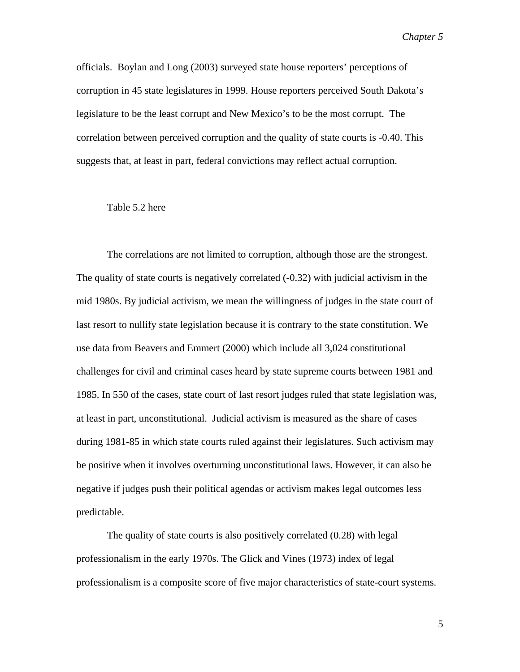officials. Boylan and Long (2003) surveyed state house reporters' perceptions of corruption in 45 state legislatures in 1999. House reporters perceived South Dakota's legislature to be the least corrupt and New Mexico's to be the most corrupt. The correlation between perceived corruption and the quality of state courts is -0.40. This suggests that, at least in part, federal convictions may reflect actual corruption.

#### Table 5.2 here

The correlations are not limited to corruption, although those are the strongest. The quality of state courts is negatively correlated (-0.32) with judicial activism in the mid 1980s. By judicial activism, we mean the willingness of judges in the state court of last resort to nullify state legislation because it is contrary to the state constitution. We use data from Beavers and Emmert (2000) which include all 3,024 constitutional challenges for civil and criminal cases heard by state supreme courts between 1981 and 1985. In 550 of the cases, state court of last resort judges ruled that state legislation was, at least in part, unconstitutional. Judicial activism is measured as the share of cases during 1981-85 in which state courts ruled against their legislatures. Such activism may be positive when it involves overturning unconstitutional laws. However, it can also be negative if judges push their political agendas or activism makes legal outcomes less predictable.

The quality of state courts is also positively correlated (0.28) with legal professionalism in the early 1970s. The Glick and Vines (1973) index of legal professionalism is a composite score of five major characteristics of state-court systems.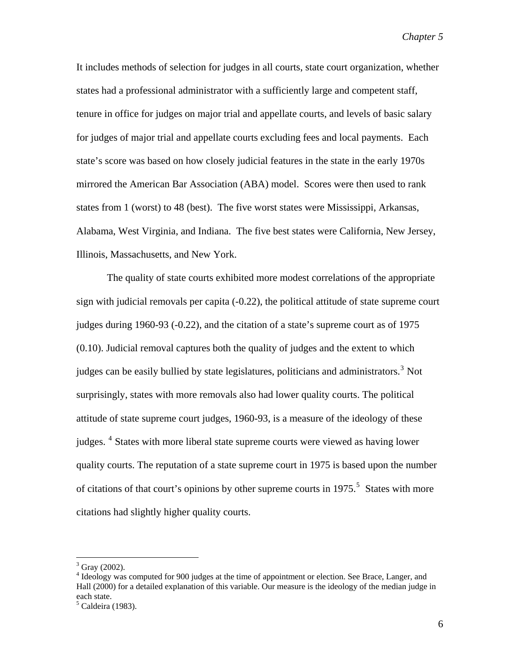It includes methods of selection for judges in all courts, state court organization, whether states had a professional administrator with a sufficiently large and competent staff, tenure in office for judges on major trial and appellate courts, and levels of basic salary for judges of major trial and appellate courts excluding fees and local payments. Each state's score was based on how closely judicial features in the state in the early 1970s mirrored the American Bar Association (ABA) model. Scores were then used to rank states from 1 (worst) to 48 (best). The five worst states were Mississippi, Arkansas, Alabama, West Virginia, and Indiana. The five best states were California, New Jersey, Illinois, Massachusetts, and New York.

The quality of state courts exhibited more modest correlations of the appropriate sign with judicial removals per capita (-0.22), the political attitude of state supreme court judges during 1960-93 (-0.22), and the citation of a state's supreme court as of 1975 (0.10). Judicial removal captures both the quality of judges and the extent to which judges can be easily bullied by state legislatures, politicians and administrators.<sup>[3](#page-5-0)</sup> Not surprisingly, states with more removals also had lower quality courts. The political attitude of state supreme court judges, 1960-93, is a measure of the ideology of these judges.<sup>[4](#page-5-1)</sup> States with more liberal state supreme courts were viewed as having lower quality courts. The reputation of a state supreme court in 1975 is based upon the number of citations of that court's opinions by other supreme courts in  $1975$  $1975$ <sup>5</sup>. States with more citations had slightly higher quality courts.

 $3$  Gray (2002).

<span id="page-5-1"></span><span id="page-5-0"></span><sup>&</sup>lt;sup>4</sup> Ideology was computed for 900 judges at the time of appointment or election. See Brace, Langer, and Hall (2000) for a detailed explanation of this variable. Our measure is the ideology of the median judge in each state.

<span id="page-5-2"></span><sup>&</sup>lt;sup>5</sup> Caldeira (1983).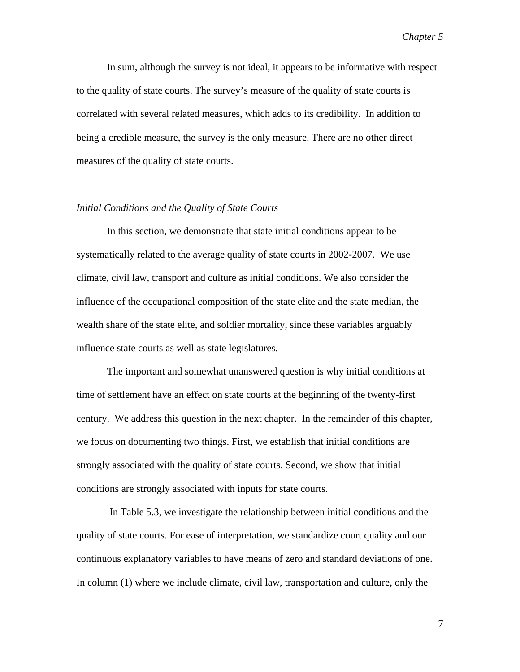In sum, although the survey is not ideal, it appears to be informative with respect to the quality of state courts. The survey's measure of the quality of state courts is correlated with several related measures, which adds to its credibility. In addition to being a credible measure, the survey is the only measure. There are no other direct measures of the quality of state courts.

# *Initial Conditions and the Quality of State Courts*

In this section, we demonstrate that state initial conditions appear to be systematically related to the average quality of state courts in 2002-2007. We use climate, civil law, transport and culture as initial conditions. We also consider the influence of the occupational composition of the state elite and the state median, the wealth share of the state elite, and soldier mortality, since these variables arguably influence state courts as well as state legislatures.

The important and somewhat unanswered question is why initial conditions at time of settlement have an effect on state courts at the beginning of the twenty-first century. We address this question in the next chapter. In the remainder of this chapter, we focus on documenting two things. First, we establish that initial conditions are strongly associated with the quality of state courts. Second, we show that initial conditions are strongly associated with inputs for state courts.

 In Table 5.3, we investigate the relationship between initial conditions and the quality of state courts. For ease of interpretation, we standardize court quality and our continuous explanatory variables to have means of zero and standard deviations of one. In column (1) where we include climate, civil law, transportation and culture, only the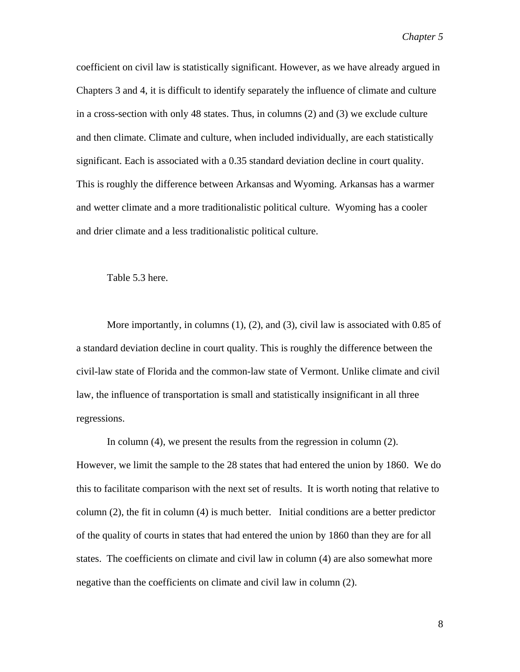coefficient on civil law is statistically significant. However, as we have already argued in Chapters 3 and 4, it is difficult to identify separately the influence of climate and culture in a cross-section with only 48 states. Thus, in columns (2) and (3) we exclude culture and then climate. Climate and culture, when included individually, are each statistically significant. Each is associated with a 0.35 standard deviation decline in court quality. This is roughly the difference between Arkansas and Wyoming. Arkansas has a warmer and wetter climate and a more traditionalistic political culture. Wyoming has a cooler and drier climate and a less traditionalistic political culture.

Table 5.3 here.

More importantly, in columns (1), (2), and (3), civil law is associated with 0.85 of a standard deviation decline in court quality. This is roughly the difference between the civil-law state of Florida and the common-law state of Vermont. Unlike climate and civil law, the influence of transportation is small and statistically insignificant in all three regressions.

In column (4), we present the results from the regression in column (2). However, we limit the sample to the 28 states that had entered the union by 1860. We do this to facilitate comparison with the next set of results. It is worth noting that relative to column (2), the fit in column (4) is much better. Initial conditions are a better predictor of the quality of courts in states that had entered the union by 1860 than they are for all states. The coefficients on climate and civil law in column (4) are also somewhat more negative than the coefficients on climate and civil law in column (2).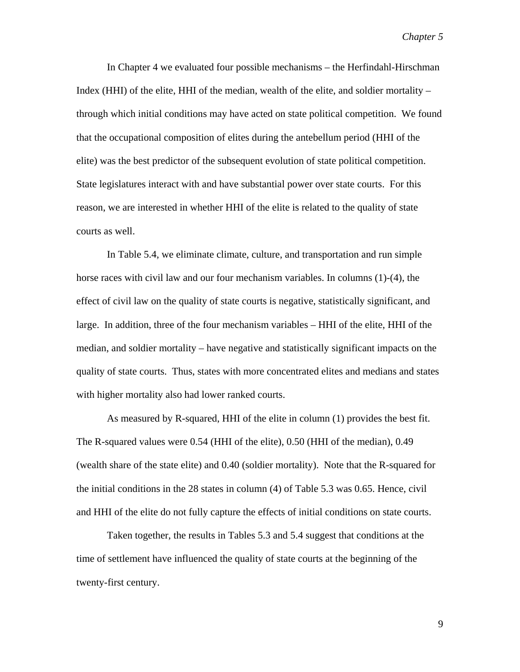In Chapter 4 we evaluated four possible mechanisms – the Herfindahl-Hirschman Index (HHI) of the elite, HHI of the median, wealth of the elite, and soldier mortality – through which initial conditions may have acted on state political competition. We found that the occupational composition of elites during the antebellum period (HHI of the elite) was the best predictor of the subsequent evolution of state political competition. State legislatures interact with and have substantial power over state courts. For this reason, we are interested in whether HHI of the elite is related to the quality of state courts as well.

In Table 5.4, we eliminate climate, culture, and transportation and run simple horse races with civil law and our four mechanism variables. In columns (1)-(4), the effect of civil law on the quality of state courts is negative, statistically significant, and large. In addition, three of the four mechanism variables – HHI of the elite, HHI of the median, and soldier mortality – have negative and statistically significant impacts on the quality of state courts. Thus, states with more concentrated elites and medians and states with higher mortality also had lower ranked courts.

As measured by R-squared, HHI of the elite in column (1) provides the best fit. The R-squared values were 0.54 (HHI of the elite), 0.50 (HHI of the median), 0.49 (wealth share of the state elite) and 0.40 (soldier mortality). Note that the R-squared for the initial conditions in the 28 states in column (4) of Table 5.3 was 0.65. Hence, civil and HHI of the elite do not fully capture the effects of initial conditions on state courts.

Taken together, the results in Tables 5.3 and 5.4 suggest that conditions at the time of settlement have influenced the quality of state courts at the beginning of the twenty-first century.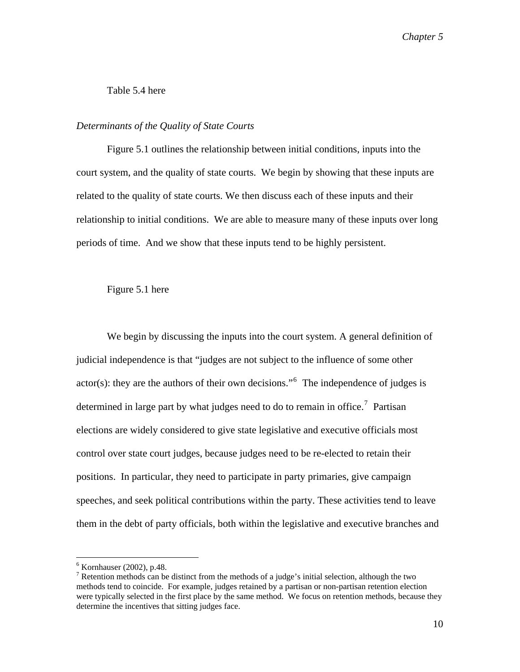# Table 5.4 here

### *Determinants of the Quality of State Courts*

Figure 5.1 outlines the relationship between initial conditions, inputs into the court system, and the quality of state courts. We begin by showing that these inputs are related to the quality of state courts. We then discuss each of these inputs and their relationship to initial conditions. We are able to measure many of these inputs over long periods of time. And we show that these inputs tend to be highly persistent.

## Figure 5.1 here

We begin by discussing the inputs into the court system. A general definition of judicial independence is that "judges are not subject to the influence of some other  $actor(s)$ : they are the authors of their own decisions."<sup>[6](#page-9-0)</sup> The independence of judges is determined in large part by what judges need to do to remain in office.<sup>[7](#page-9-1)</sup> Partisan elections are widely considered to give state legislative and executive officials most control over state court judges, because judges need to be re-elected to retain their positions. In particular, they need to participate in party primaries, give campaign speeches, and seek political contributions within the party. These activities tend to leave them in the debt of party officials, both within the legislative and executive branches and

<span id="page-9-0"></span><sup>6</sup> Kornhauser (2002), p.48.

<span id="page-9-1"></span><sup>&</sup>lt;sup>7</sup> Retention methods can be distinct from the methods of a judge's initial selection, although the two methods tend to coincide. For example, judges retained by a partisan or non-partisan retention election were typically selected in the first place by the same method. We focus on retention methods, because they determine the incentives that sitting judges face.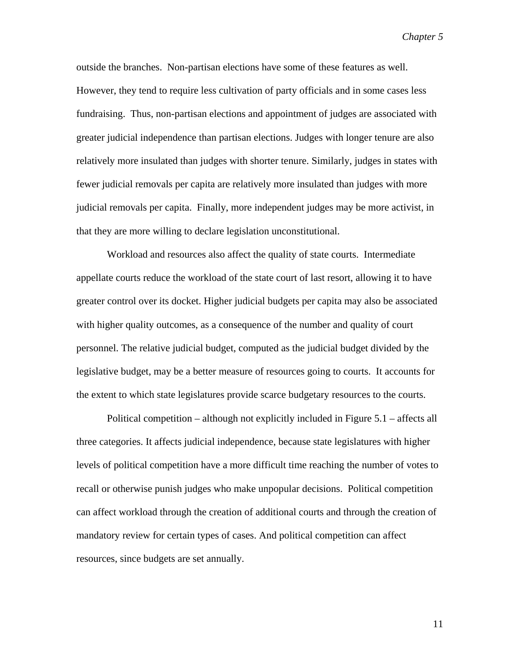outside the branches. Non-partisan elections have some of these features as well. However, they tend to require less cultivation of party officials and in some cases less fundraising. Thus, non-partisan elections and appointment of judges are associated with greater judicial independence than partisan elections. Judges with longer tenure are also relatively more insulated than judges with shorter tenure. Similarly, judges in states with fewer judicial removals per capita are relatively more insulated than judges with more judicial removals per capita. Finally, more independent judges may be more activist, in that they are more willing to declare legislation unconstitutional.

Workload and resources also affect the quality of state courts. Intermediate appellate courts reduce the workload of the state court of last resort, allowing it to have greater control over its docket. Higher judicial budgets per capita may also be associated with higher quality outcomes, as a consequence of the number and quality of court personnel. The relative judicial budget, computed as the judicial budget divided by the legislative budget, may be a better measure of resources going to courts. It accounts for the extent to which state legislatures provide scarce budgetary resources to the courts.

Political competition – although not explicitly included in Figure 5.1 – affects all three categories. It affects judicial independence, because state legislatures with higher levels of political competition have a more difficult time reaching the number of votes to recall or otherwise punish judges who make unpopular decisions. Political competition can affect workload through the creation of additional courts and through the creation of mandatory review for certain types of cases. And political competition can affect resources, since budgets are set annually.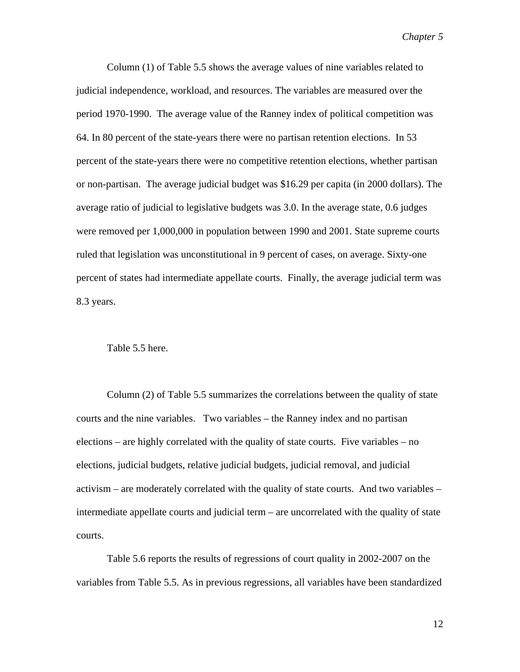Column (1) of Table 5.5 shows the average values of nine variables related to judicial independence, workload, and resources. The variables are measured over the period 1970-1990. The average value of the Ranney index of political competition was 64. In 80 percent of the state-years there were no partisan retention elections. In 53 percent of the state-years there were no competitive retention elections, whether partisan or non-partisan. The average judicial budget was \$16.29 per capita (in 2000 dollars). The average ratio of judicial to legislative budgets was 3.0. In the average state, 0.6 judges were removed per 1,000,000 in population between 1990 and 2001. State supreme courts ruled that legislation was unconstitutional in 9 percent of cases, on average. Sixty-one percent of states had intermediate appellate courts. Finally, the average judicial term was 8.3 years.

### Table 5.5 here.

Column (2) of Table 5.5 summarizes the correlations between the quality of state courts and the nine variables. Two variables – the Ranney index and no partisan elections – are highly correlated with the quality of state courts. Five variables – no elections, judicial budgets, relative judicial budgets, judicial removal, and judicial activism – are moderately correlated with the quality of state courts. And two variables – intermediate appellate courts and judicial term – are uncorrelated with the quality of state courts.

Table 5.6 reports the results of regressions of court quality in 2002-2007 on the variables from Table 5.5. As in previous regressions, all variables have been standardized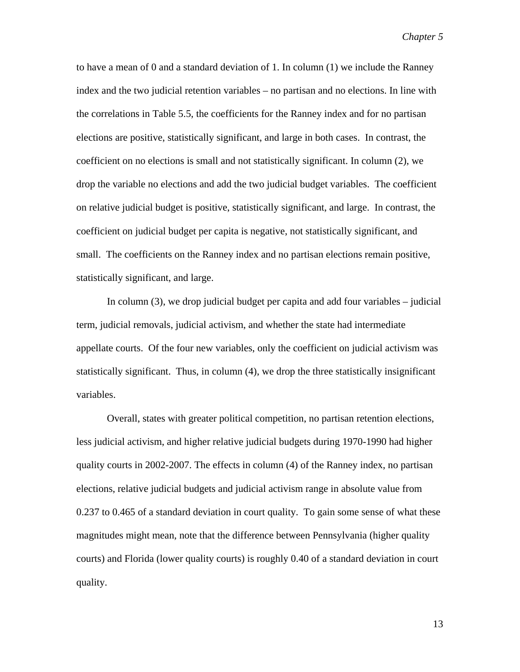to have a mean of 0 and a standard deviation of 1. In column (1) we include the Ranney index and the two judicial retention variables – no partisan and no elections. In line with the correlations in Table 5.5, the coefficients for the Ranney index and for no partisan elections are positive, statistically significant, and large in both cases. In contrast, the coefficient on no elections is small and not statistically significant. In column (2), we drop the variable no elections and add the two judicial budget variables. The coefficient on relative judicial budget is positive, statistically significant, and large. In contrast, the coefficient on judicial budget per capita is negative, not statistically significant, and small. The coefficients on the Ranney index and no partisan elections remain positive, statistically significant, and large.

In column (3), we drop judicial budget per capita and add four variables – judicial term, judicial removals, judicial activism, and whether the state had intermediate appellate courts. Of the four new variables, only the coefficient on judicial activism was statistically significant. Thus, in column (4), we drop the three statistically insignificant variables.

Overall, states with greater political competition, no partisan retention elections, less judicial activism, and higher relative judicial budgets during 1970-1990 had higher quality courts in 2002-2007. The effects in column (4) of the Ranney index, no partisan elections, relative judicial budgets and judicial activism range in absolute value from 0.237 to 0.465 of a standard deviation in court quality. To gain some sense of what these magnitudes might mean, note that the difference between Pennsylvania (higher quality courts) and Florida (lower quality courts) is roughly 0.40 of a standard deviation in court quality.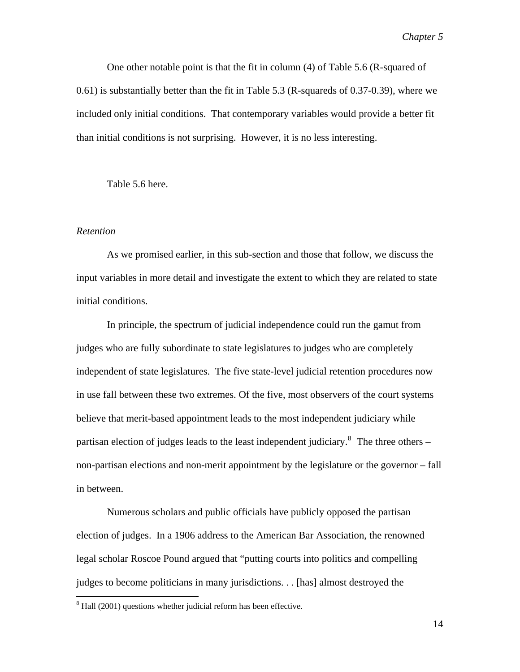One other notable point is that the fit in column (4) of Table 5.6 (R-squared of 0.61) is substantially better than the fit in Table 5.3 (R-squareds of 0.37-0.39), where we included only initial conditions. That contemporary variables would provide a better fit than initial conditions is not surprising. However, it is no less interesting.

Table 5.6 here.

### *Retention*

 $\overline{a}$ 

As we promised earlier, in this sub-section and those that follow, we discuss the input variables in more detail and investigate the extent to which they are related to state initial conditions.

In principle, the spectrum of judicial independence could run the gamut from judges who are fully subordinate to state legislatures to judges who are completely independent of state legislatures. The five state-level judicial retention procedures now in use fall between these two extremes. Of the five, most observers of the court systems believe that merit-based appointment leads to the most independent judiciary while partisan election of judges leads to the least independent judiciary.<sup>[8](#page-13-0)</sup> The three others – non-partisan elections and non-merit appointment by the legislature or the governor – fall in between.

 Numerous scholars and public officials have publicly opposed the partisan election of judges. In a 1906 address to the American Bar Association, the renowned legal scholar Roscoe Pound argued that "putting courts into politics and compelling judges to become politicians in many jurisdictions. . . [has] almost destroyed the

<span id="page-13-0"></span> $8$  Hall (2001) questions whether judicial reform has been effective.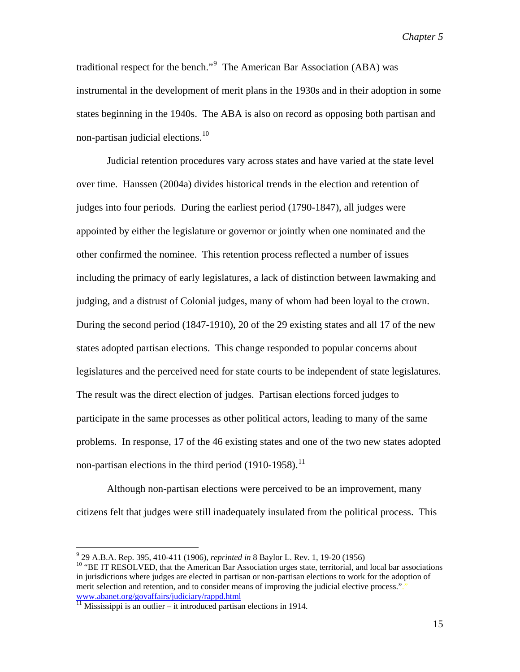traditional respect for the bench."<sup>[9](#page-14-0)</sup> The American Bar Association (ABA) was instrumental in the development of merit plans in the 1930s and in their adoption in some states beginning in the 1940s. The ABA is also on record as opposing both partisan and non-partisan judicial elections.<sup>[10](#page-14-1)</sup>

Judicial retention procedures vary across states and have varied at the state level over time. Hanssen (2004a) divides historical trends in the election and retention of judges into four periods. During the earliest period (1790-1847), all judges were appointed by either the legislature or governor or jointly when one nominated and the other confirmed the nominee. This retention process reflected a number of issues including the primacy of early legislatures, a lack of distinction between lawmaking and judging, and a distrust of Colonial judges, many of whom had been loyal to the crown. During the second period (1847-1910), 20 of the 29 existing states and all 17 of the new states adopted partisan elections. This change responded to popular concerns about legislatures and the perceived need for state courts to be independent of state legislatures. The result was the direct election of judges. Partisan elections forced judges to participate in the same processes as other political actors, leading to many of the same problems. In response, 17 of the 46 existing states and one of the two new states adopted non-partisan elections in the third period  $(1910-1958)$ .<sup>[11](#page-14-2)</sup>

Although non-partisan elections were perceived to be an improvement, many citizens felt that judges were still inadequately insulated from the political process. This

 $9^9$  29 A.B.A. Rep. 395, 410-411 (1906), *reprinted in* 8 Baylor L. Rev. 1, 19-20 (1956)

<span id="page-14-1"></span><span id="page-14-0"></span><sup>&</sup>lt;sup>10</sup> "BE IT RESOLVED, that the American Bar Association urges state, territorial, and local bar associations in jurisdictions where judges are elected in partisan or non-partisan elections to work for the adoption of merit selection and retention, and to consider means of improving the judicial elective process."." [www.abanet.org/govaffairs/judiciary/rappd.html](http://www.abanet.org/govaffairs/judiciary/rappd.html)<br><sup>11</sup> Mississippi is an outlier – it introduced partisan elections in 1914.

<span id="page-14-2"></span>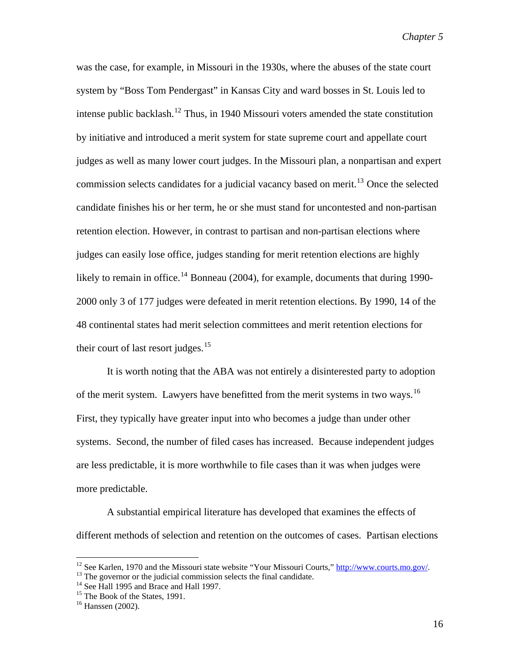was the case, for example, in Missouri in the 1930s, where the abuses of the state court system by "Boss Tom Pendergast" in Kansas City and ward bosses in St. Louis led to intense public backlash.<sup>[12](#page-15-0)</sup> Thus, in 1940 Missouri voters amended the state constitution by initiative and introduced a merit system for state supreme court and appellate court judges as well as many lower court judges. In the Missouri plan, a nonpartisan and expert commission selects candidates for a judicial vacancy based on merit.<sup>[13](#page-15-1)</sup> Once the selected candidate finishes his or her term, he or she must stand for uncontested and non-partisan retention election. However, in contrast to partisan and non-partisan elections where judges can easily lose office, judges standing for merit retention elections are highly likely to remain in office.<sup>[14](#page-15-2)</sup> Bonneau (2004), for example, documents that during 1990-2000 only 3 of 177 judges were defeated in merit retention elections. By 1990, 14 of the 48 continental states had merit selection committees and merit retention elections for their court of last resort judges. $15$ 

It is worth noting that the ABA was not entirely a disinterested party to adoption of the merit system. Lawyers have benefitted from the merit systems in two ways.<sup>[16](#page-15-4)</sup> First, they typically have greater input into who becomes a judge than under other systems. Second, the number of filed cases has increased. Because independent judges are less predictable, it is more worthwhile to file cases than it was when judges were more predictable.

A substantial empirical literature has developed that examines the effects of different methods of selection and retention on the outcomes of cases. Partisan elections

<span id="page-15-0"></span><sup>&</sup>lt;sup>12</sup> See Karlen, 1970 and the Missouri state website "Your Missouri Courts,"  $\frac{http://www.courts.mo.gov/}{http://www.courts.mo.gov/}$ .<br><sup>13</sup> The governor or the judicial commission selects the final candidate.

<span id="page-15-2"></span><span id="page-15-1"></span><sup>&</sup>lt;sup>14</sup> See Hall 1995 and Brace and Hall 1997.

<span id="page-15-3"></span><sup>&</sup>lt;sup>15</sup> The Book of the States, 1991.

<span id="page-15-4"></span> $16$  Hanssen (2002).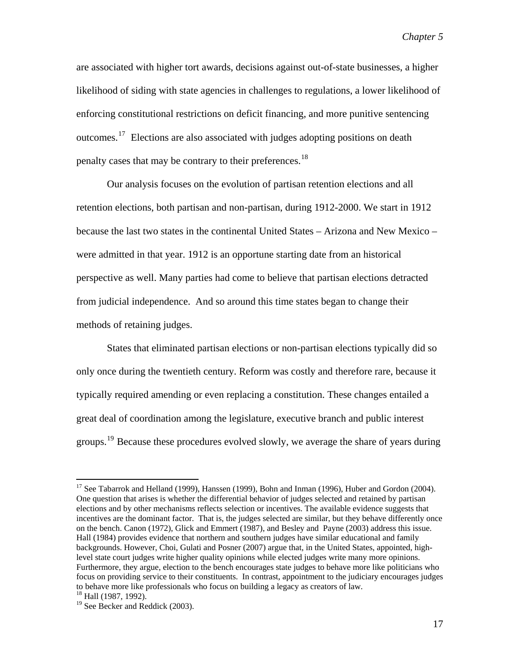are associated with higher tort awards, decisions against out-of-state businesses, a higher likelihood of siding with state agencies in challenges to regulations, a lower likelihood of enforcing constitutional restrictions on deficit financing, and more punitive sentencing outcomes.[17](#page-16-0) Elections are also associated with judges adopting positions on death penalty cases that may be contrary to their preferences.<sup>[18](#page-16-1)</sup>

Our analysis focuses on the evolution of partisan retention elections and all retention elections, both partisan and non-partisan, during 1912-2000. We start in 1912 because the last two states in the continental United States – Arizona and New Mexico – were admitted in that year. 1912 is an opportune starting date from an historical perspective as well. Many parties had come to believe that partisan elections detracted from judicial independence. And so around this time states began to change their methods of retaining judges.

 States that eliminated partisan elections or non-partisan elections typically did so only once during the twentieth century. Reform was costly and therefore rare, because it typically required amending or even replacing a constitution. These changes entailed a great deal of coordination among the legislature, executive branch and public interest groups.<sup>[19](#page-16-2)</sup> Because these procedures evolved slowly, we average the share of years during

<span id="page-16-0"></span><sup>&</sup>lt;sup>17</sup> See Tabarrok and Helland (1999), Hanssen (1999), Bohn and Inman (1996), Huber and Gordon (2004). One question that arises is whether the differential behavior of judges selected and retained by partisan elections and by other mechanisms reflects selection or incentives. The available evidence suggests that incentives are the dominant factor. That is, the judges selected are similar, but they behave differently once on the bench. Canon (1972), Glick and Emmert (1987), and Besley and Payne (2003) address this issue. Hall (1984) provides evidence that northern and southern judges have similar educational and family backgrounds. However, Choi, Gulati and Posner (2007) argue that, in the United States, appointed, highlevel state court judges write higher quality opinions while elected judges write many more opinions. Furthermore, they argue, election to the bench encourages state judges to behave more like politicians who focus on providing service to their constituents. In contrast, appointment to the judiciary encourages judges to behave more like professionals who focus on building a legacy as creators of law.<br><sup>18</sup> Hall (1987, 1992).

<span id="page-16-1"></span>

<span id="page-16-2"></span><sup>&</sup>lt;sup>19</sup> See Becker and Reddick (2003).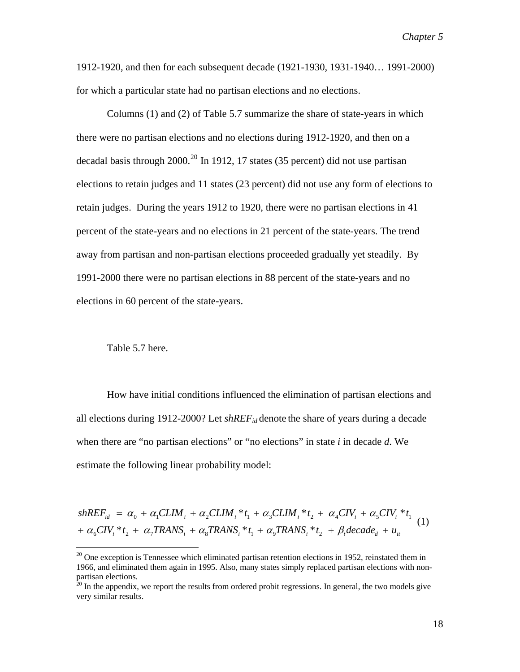1912-1920, and then for each subsequent decade (1921-1930, 1931-1940… 1991-2000) for which a particular state had no partisan elections and no elections.

 Columns (1) and (2) of Table 5.7 summarize the share of state-years in which there were no partisan elections and no elections during 1912-1920, and then on a decadal basis through [20](#page-17-0)00.<sup>20</sup> In 1912, 17 states (35 percent) did not use partisan elections to retain judges and 11 states (23 percent) did not use any form of elections to retain judges. During the years 1912 to 1920, there were no partisan elections in 41 percent of the state-years and no elections in 21 percent of the state-years. The trend away from partisan and non-partisan elections proceeded gradually yet steadily. By 1991-2000 there were no partisan elections in 88 percent of the state-years and no elections in 60 percent of the state-years.

Table 5.7 here.

 $\overline{a}$ 

 How have initial conditions influenced the elimination of partisan elections and all elections during 1912-2000? Let  $shREF_{id}$  denote the share of years during a decade when there are "no partisan elections" or "no elections" in state *i* in decade *d*. We estimate the following linear probability model:

 $\alpha_6$ CIV<sub>i</sub>  $*$   $t_2$  +  $\alpha_7$ TRANS<sub>i</sub> +  $\alpha_8$ TRANS<sub>i</sub>  $*$   $t_1$  +  $\alpha_9$ TRANS<sub>i</sub>  $*$   $t_2$  +  $\beta_7$  decade<sub>d</sub> +  $u_{it}$  $shREF_{id} = \alpha_0 + \alpha_1CLIM_i + \alpha_2CLIM_i * t_1 + \alpha_3CLIM_i * t_2 + \alpha_4CIV_i + \alpha_5CIV_i * t_1$ (1)

<span id="page-17-0"></span> $20$  One exception is Tennessee which eliminated partisan retention elections in 1952, reinstated them in 1966, and eliminated them again in 1995. Also, many states simply replaced partisan elections with nonpartisan elections.

 $20$  In the appendix, we report the results from ordered probit regressions. In general, the two models give very similar results.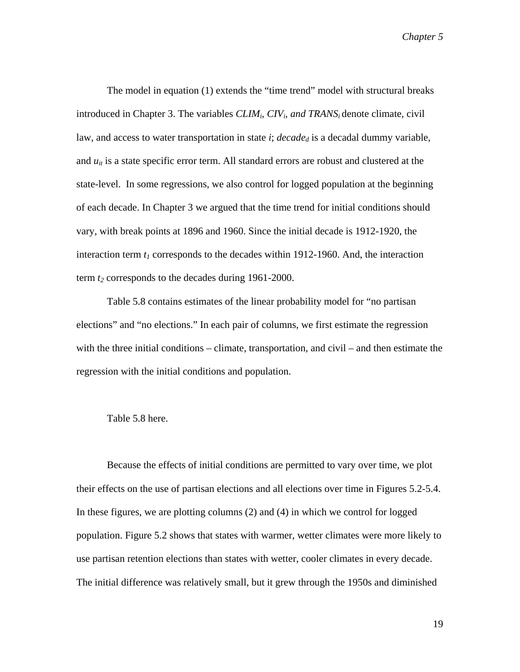The model in equation (1) extends the "time trend" model with structural breaks introduced in Chapter 3. The variables *CLIMi, CIVi, and TRANSi* denote climate, civil law, and access to water transportation in state  $i$ ;  $decade_d$  is a decadal dummy variable, and  $u_{it}$  is a state specific error term. All standard errors are robust and clustered at the state-level. In some regressions, we also control for logged population at the beginning of each decade. In Chapter 3 we argued that the time trend for initial conditions should vary, with break points at 1896 and 1960. Since the initial decade is 1912-1920, the interaction term  $t_1$  corresponds to the decades within 1912-1960. And, the interaction term  $t_2$  corresponds to the decades during 1961-2000.

Table 5.8 contains estimates of the linear probability model for "no partisan elections" and "no elections." In each pair of columns, we first estimate the regression with the three initial conditions – climate, transportation, and civil – and then estimate the regression with the initial conditions and population.

### Table 5.8 here.

Because the effects of initial conditions are permitted to vary over time, we plot their effects on the use of partisan elections and all elections over time in Figures 5.2-5.4. In these figures, we are plotting columns (2) and (4) in which we control for logged population. Figure 5.2 shows that states with warmer, wetter climates were more likely to use partisan retention elections than states with wetter, cooler climates in every decade. The initial difference was relatively small, but it grew through the 1950s and diminished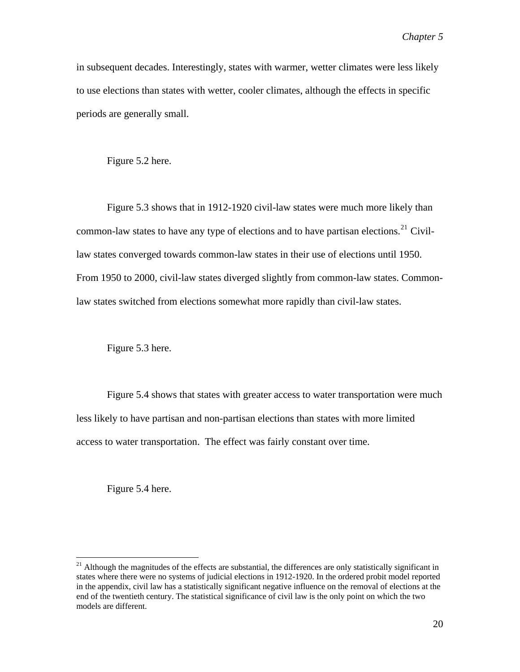in subsequent decades. Interestingly, states with warmer, wetter climates were less likely to use elections than states with wetter, cooler climates, although the effects in specific periods are generally small.

Figure 5.2 here.

Figure 5.3 shows that in 1912-1920 civil-law states were much more likely than common-law states to have any type of elections and to have partisan elections.<sup>[21](#page-19-0)</sup> Civillaw states converged towards common-law states in their use of elections until 1950. From 1950 to 2000, civil-law states diverged slightly from common-law states. Commonlaw states switched from elections somewhat more rapidly than civil-law states.

Figure 5.3 here.

Figure 5.4 shows that states with greater access to water transportation were much less likely to have partisan and non-partisan elections than states with more limited access to water transportation. The effect was fairly constant over time.

Figure 5.4 here.

<span id="page-19-0"></span> $21$  Although the magnitudes of the effects are substantial, the differences are only statistically significant in states where there were no systems of judicial elections in 1912-1920. In the ordered probit model reported in the appendix, civil law has a statistically significant negative influence on the removal of elections at the end of the twentieth century. The statistical significance of civil law is the only point on which the two models are different.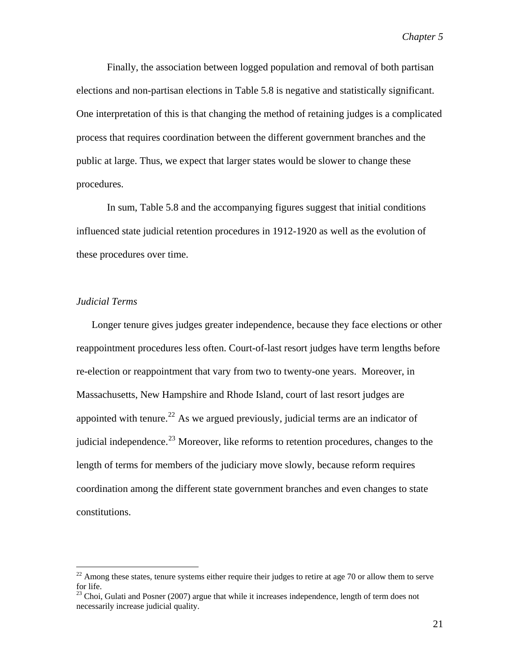Finally, the association between logged population and removal of both partisan elections and non-partisan elections in Table 5.8 is negative and statistically significant. One interpretation of this is that changing the method of retaining judges is a complicated process that requires coordination between the different government branches and the public at large. Thus, we expect that larger states would be slower to change these procedures.

In sum, Table 5.8 and the accompanying figures suggest that initial conditions influenced state judicial retention procedures in 1912-1920 as well as the evolution of these procedures over time.

# *Judicial Terms*

 $\overline{a}$ 

Longer tenure gives judges greater independence, because they face elections or other reappointment procedures less often. Court-of-last resort judges have term lengths before re-election or reappointment that vary from two to twenty-one years. Moreover, in Massachusetts, New Hampshire and Rhode Island, court of last resort judges are appointed with tenure.<sup>[22](#page-20-0)</sup> As we argued previously, judicial terms are an indicator of judicial independence.<sup>[23](#page-20-1)</sup> Moreover, like reforms to retention procedures, changes to the length of terms for members of the judiciary move slowly, because reform requires coordination among the different state government branches and even changes to state constitutions.

<span id="page-20-0"></span> $22$  Among these states, tenure systems either require their judges to retire at age 70 or allow them to serve for life.

<span id="page-20-1"></span><sup>&</sup>lt;sup>23</sup> Choi, Gulati and Posner (2007) argue that while it increases independence, length of term does not necessarily increase judicial quality.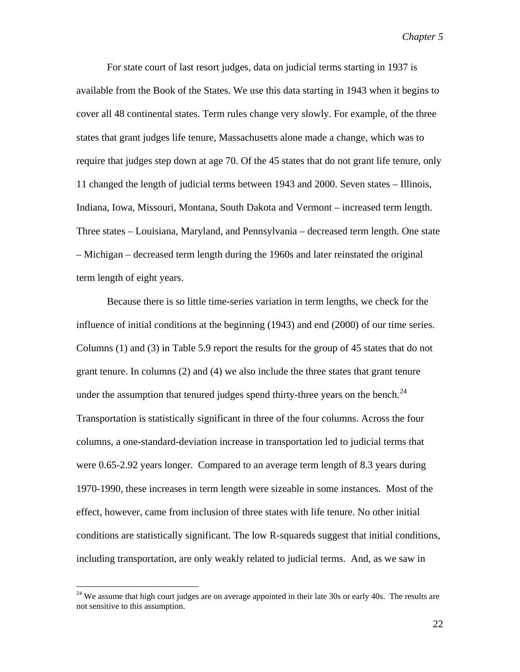For state court of last resort judges, data on judicial terms starting in 1937 is available from the Book of the States. We use this data starting in 1943 when it begins to cover all 48 continental states. Term rules change very slowly. For example, of the three states that grant judges life tenure, Massachusetts alone made a change, which was to require that judges step down at age 70. Of the 45 states that do not grant life tenure, only 11 changed the length of judicial terms between 1943 and 2000. Seven states – Illinois, Indiana, Iowa, Missouri, Montana, South Dakota and Vermont – increased term length. Three states – Louisiana, Maryland, and Pennsylvania – decreased term length. One state – Michigan – decreased term length during the 1960s and later reinstated the original term length of eight years.

 Because there is so little time-series variation in term lengths, we check for the influence of initial conditions at the beginning (1943) and end (2000) of our time series. Columns (1) and (3) in Table 5.9 report the results for the group of 45 states that do not grant tenure. In columns (2) and (4) we also include the three states that grant tenure under the assumption that tenured judges spend thirty-three years on the bench.<sup>[24](#page-21-0)</sup> Transportation is statistically significant in three of the four columns. Across the four columns, a one-standard-deviation increase in transportation led to judicial terms that were 0.65-2.92 years longer. Compared to an average term length of 8.3 years during 1970-1990, these increases in term length were sizeable in some instances. Most of the effect, however, came from inclusion of three states with life tenure. No other initial conditions are statistically significant. The low R-squareds suggest that initial conditions, including transportation, are only weakly related to judicial terms. And, as we saw in

<span id="page-21-0"></span> $24$  We assume that high court judges are on average appointed in their late 30s or early 40s. The results are not sensitive to this assumption.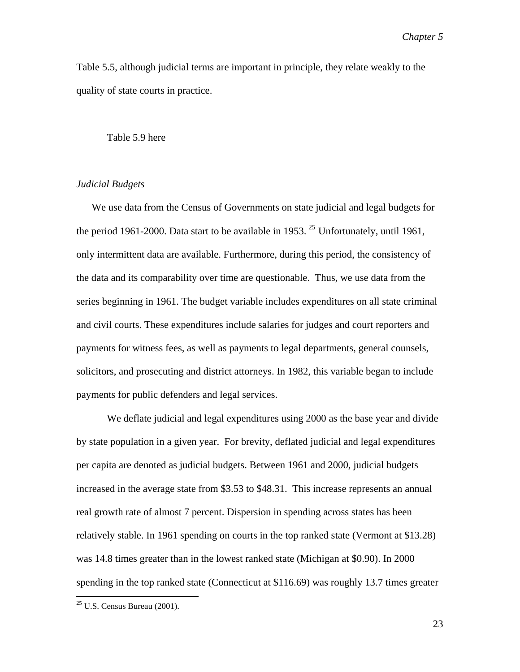Table 5.5, although judicial terms are important in principle, they relate weakly to the quality of state courts in practice.

#### Table 5.9 here

# *Judicial Budgets*

We use data from the Census of Governments on state judicial and legal budgets for the period 1961-2000. Data start to be available in 1953. <sup>[25](#page-22-0)</sup> Unfortunately, until 1961, only intermittent data are available. Furthermore, during this period, the consistency of the data and its comparability over time are questionable. Thus, we use data from the series beginning in 1961. The budget variable includes expenditures on all state criminal and civil courts. These expenditures include salaries for judges and court reporters and payments for witness fees, as well as payments to legal departments, general counsels, solicitors, and prosecuting and district attorneys. In 1982, this variable began to include payments for public defenders and legal services.

We deflate judicial and legal expenditures using 2000 as the base year and divide by state population in a given year. For brevity, deflated judicial and legal expenditures per capita are denoted as judicial budgets. Between 1961 and 2000, judicial budgets increased in the average state from \$3.53 to \$48.31. This increase represents an annual real growth rate of almost 7 percent. Dispersion in spending across states has been relatively stable. In 1961 spending on courts in the top ranked state (Vermont at \$13.28) was 14.8 times greater than in the lowest ranked state (Michigan at \$0.90). In 2000 spending in the top ranked state (Connecticut at \$116.69) was roughly 13.7 times greater

 $\overline{a}$ 

<span id="page-22-0"></span> $25$  U.S. Census Bureau (2001).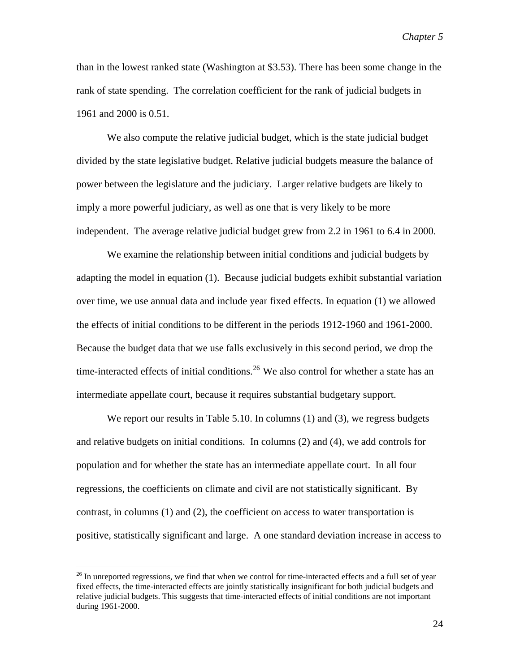than in the lowest ranked state (Washington at \$3.53). There has been some change in the rank of state spending. The correlation coefficient for the rank of judicial budgets in 1961 and 2000 is 0.51.

We also compute the relative judicial budget, which is the state judicial budget divided by the state legislative budget. Relative judicial budgets measure the balance of power between the legislature and the judiciary. Larger relative budgets are likely to imply a more powerful judiciary, as well as one that is very likely to be more independent. The average relative judicial budget grew from 2.2 in 1961 to 6.4 in 2000.

 We examine the relationship between initial conditions and judicial budgets by adapting the model in equation (1). Because judicial budgets exhibit substantial variation over time, we use annual data and include year fixed effects. In equation (1) we allowed the effects of initial conditions to be different in the periods 1912-1960 and 1961-2000. Because the budget data that we use falls exclusively in this second period, we drop the time-interacted effects of initial conditions.<sup>[26](#page-23-0)</sup> We also control for whether a state has an intermediate appellate court, because it requires substantial budgetary support.

We report our results in Table 5.10. In columns (1) and (3), we regress budgets and relative budgets on initial conditions. In columns (2) and (4), we add controls for population and for whether the state has an intermediate appellate court. In all four regressions, the coefficients on climate and civil are not statistically significant. By contrast, in columns (1) and (2), the coefficient on access to water transportation is positive, statistically significant and large. A one standard deviation increase in access to

<span id="page-23-0"></span> $^{26}$  In unreported regressions, we find that when we control for time-interacted effects and a full set of year fixed effects, the time-interacted effects are jointly statistically insignificant for both judicial budgets and relative judicial budgets. This suggests that time-interacted effects of initial conditions are not important during 1961-2000.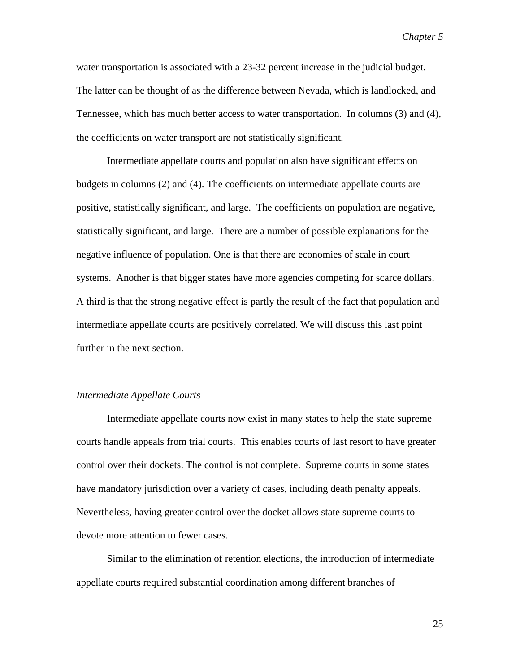water transportation is associated with a 23-32 percent increase in the judicial budget. The latter can be thought of as the difference between Nevada, which is landlocked, and Tennessee, which has much better access to water transportation. In columns (3) and (4), the coefficients on water transport are not statistically significant.

Intermediate appellate courts and population also have significant effects on budgets in columns (2) and (4). The coefficients on intermediate appellate courts are positive, statistically significant, and large. The coefficients on population are negative, statistically significant, and large. There are a number of possible explanations for the negative influence of population. One is that there are economies of scale in court systems. Another is that bigger states have more agencies competing for scarce dollars. A third is that the strong negative effect is partly the result of the fact that population and intermediate appellate courts are positively correlated. We will discuss this last point further in the next section.

#### *Intermediate Appellate Courts*

Intermediate appellate courts now exist in many states to help the state supreme courts handle appeals from trial courts. This enables courts of last resort to have greater control over their dockets. The control is not complete. Supreme courts in some states have mandatory jurisdiction over a variety of cases, including death penalty appeals. Nevertheless, having greater control over the docket allows state supreme courts to devote more attention to fewer cases.

Similar to the elimination of retention elections, the introduction of intermediate appellate courts required substantial coordination among different branches of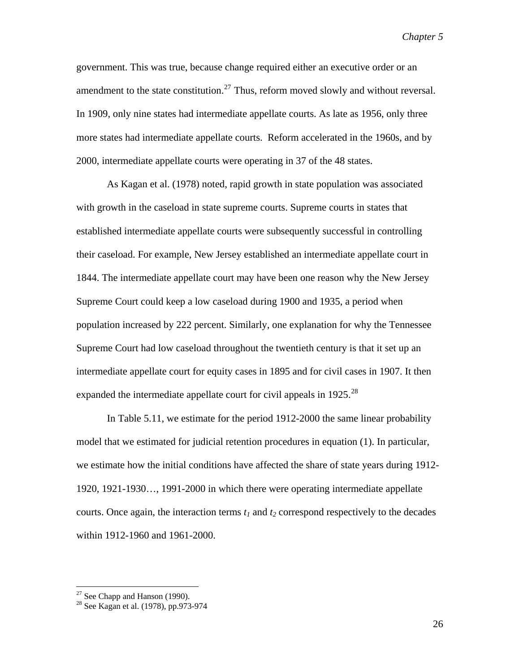government. This was true, because change required either an executive order or an amendment to the state constitution.<sup>[27](#page-25-0)</sup> Thus, reform moved slowly and without reversal. In 1909, only nine states had intermediate appellate courts. As late as 1956, only three more states had intermediate appellate courts. Reform accelerated in the 1960s, and by 2000, intermediate appellate courts were operating in 37 of the 48 states.

As Kagan et al. (1978) noted, rapid growth in state population was associated with growth in the caseload in state supreme courts. Supreme courts in states that established intermediate appellate courts were subsequently successful in controlling their caseload. For example, New Jersey established an intermediate appellate court in 1844. The intermediate appellate court may have been one reason why the New Jersey Supreme Court could keep a low caseload during 1900 and 1935, a period when population increased by 222 percent. Similarly, one explanation for why the Tennessee Supreme Court had low caseload throughout the twentieth century is that it set up an intermediate appellate court for equity cases in 1895 and for civil cases in 1907. It then expanded the intermediate appellate court for civil appeals in  $1925$ <sup>[28](#page-25-1)</sup>

In Table 5.11, we estimate for the period 1912-2000 the same linear probability model that we estimated for judicial retention procedures in equation (1). In particular, we estimate how the initial conditions have affected the share of state years during 1912- 1920, 1921-1930…, 1991-2000 in which there were operating intermediate appellate courts. Once again, the interaction terms  $t_1$  and  $t_2$  correspond respectively to the decades within 1912-1960 and 1961-2000.

 $27$  See Chapp and Hanson (1990).

<span id="page-25-1"></span><span id="page-25-0"></span><sup>28</sup> See Kagan et al. (1978), pp.973-974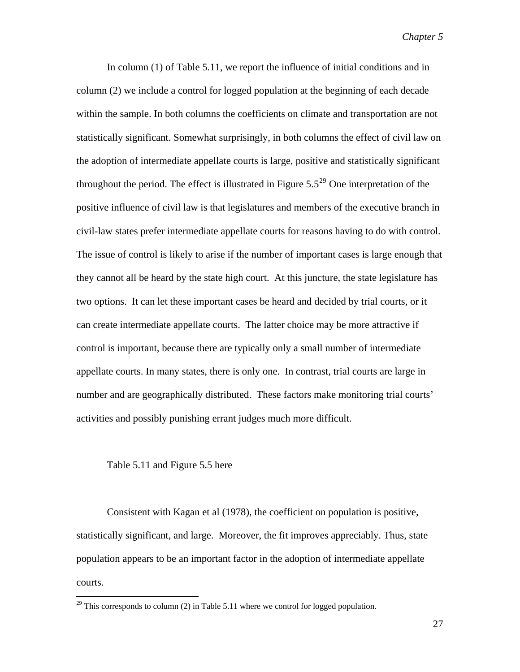In column (1) of Table 5.11, we report the influence of initial conditions and in column (2) we include a control for logged population at the beginning of each decade within the sample. In both columns the coefficients on climate and transportation are not statistically significant. Somewhat surprisingly, in both columns the effect of civil law on the adoption of intermediate appellate courts is large, positive and statistically significant throughout the period. The effect is illustrated in Figure  $5.5^{29}$  $5.5^{29}$  $5.5^{29}$  One interpretation of the positive influence of civil law is that legislatures and members of the executive branch in civil-law states prefer intermediate appellate courts for reasons having to do with control. The issue of control is likely to arise if the number of important cases is large enough that they cannot all be heard by the state high court. At this juncture, the state legislature has two options. It can let these important cases be heard and decided by trial courts, or it can create intermediate appellate courts. The latter choice may be more attractive if control is important, because there are typically only a small number of intermediate appellate courts. In many states, there is only one. In contrast, trial courts are large in number and are geographically distributed. These factors make monitoring trial courts' activities and possibly punishing errant judges much more difficult.

### Table 5.11 and Figure 5.5 here

 $\overline{a}$ 

Consistent with Kagan et al (1978), the coefficient on population is positive, statistically significant, and large. Moreover, the fit improves appreciably. Thus, state population appears to be an important factor in the adoption of intermediate appellate courts.

<span id="page-26-0"></span> $29$  This corresponds to column (2) in Table 5.11 where we control for logged population.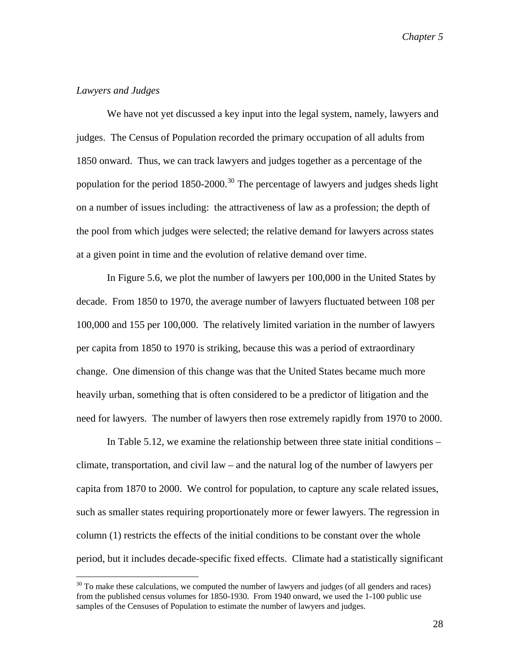# *Lawyers and Judges*

 $\overline{a}$ 

We have not yet discussed a key input into the legal system, namely, lawyers and judges. The Census of Population recorded the primary occupation of all adults from 1850 onward. Thus, we can track lawyers and judges together as a percentage of the population for the period  $1850-2000$ .<sup>[30](#page-27-0)</sup> The percentage of lawyers and judges sheds light on a number of issues including: the attractiveness of law as a profession; the depth of the pool from which judges were selected; the relative demand for lawyers across states at a given point in time and the evolution of relative demand over time.

 In Figure 5.6, we plot the number of lawyers per 100,000 in the United States by decade. From 1850 to 1970, the average number of lawyers fluctuated between 108 per 100,000 and 155 per 100,000. The relatively limited variation in the number of lawyers per capita from 1850 to 1970 is striking, because this was a period of extraordinary change. One dimension of this change was that the United States became much more heavily urban, something that is often considered to be a predictor of litigation and the need for lawyers. The number of lawyers then rose extremely rapidly from 1970 to 2000.

 In Table 5.12, we examine the relationship between three state initial conditions – climate, transportation, and civil law – and the natural log of the number of lawyers per capita from 1870 to 2000. We control for population, to capture any scale related issues, such as smaller states requiring proportionately more or fewer lawyers. The regression in column (1) restricts the effects of the initial conditions to be constant over the whole period, but it includes decade-specific fixed effects. Climate had a statistically significant

<span id="page-27-0"></span> $30$  To make these calculations, we computed the number of lawyers and judges (of all genders and races) from the published census volumes for 1850-1930. From 1940 onward, we used the 1-100 public use samples of the Censuses of Population to estimate the number of lawyers and judges.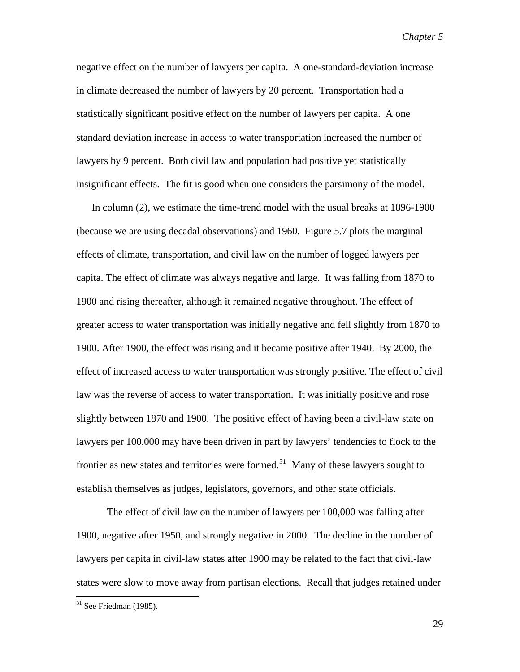negative effect on the number of lawyers per capita. A one-standard-deviation increase in climate decreased the number of lawyers by 20 percent. Transportation had a statistically significant positive effect on the number of lawyers per capita. A one standard deviation increase in access to water transportation increased the number of lawyers by 9 percent. Both civil law and population had positive yet statistically insignificant effects. The fit is good when one considers the parsimony of the model.

In column (2), we estimate the time-trend model with the usual breaks at 1896-1900 (because we are using decadal observations) and 1960. Figure 5.7 plots the marginal effects of climate, transportation, and civil law on the number of logged lawyers per capita. The effect of climate was always negative and large. It was falling from 1870 to 1900 and rising thereafter, although it remained negative throughout. The effect of greater access to water transportation was initially negative and fell slightly from 1870 to 1900. After 1900, the effect was rising and it became positive after 1940. By 2000, the effect of increased access to water transportation was strongly positive. The effect of civil law was the reverse of access to water transportation. It was initially positive and rose slightly between 1870 and 1900. The positive effect of having been a civil-law state on lawyers per 100,000 may have been driven in part by lawyers' tendencies to flock to the frontier as new states and territories were formed.<sup>[31](#page-28-0)</sup> Many of these lawyers sought to establish themselves as judges, legislators, governors, and other state officials.

The effect of civil law on the number of lawyers per 100,000 was falling after 1900, negative after 1950, and strongly negative in 2000. The decline in the number of lawyers per capita in civil-law states after 1900 may be related to the fact that civil-law states were slow to move away from partisan elections. Recall that judges retained under

<span id="page-28-0"></span> $31$  See Friedman (1985).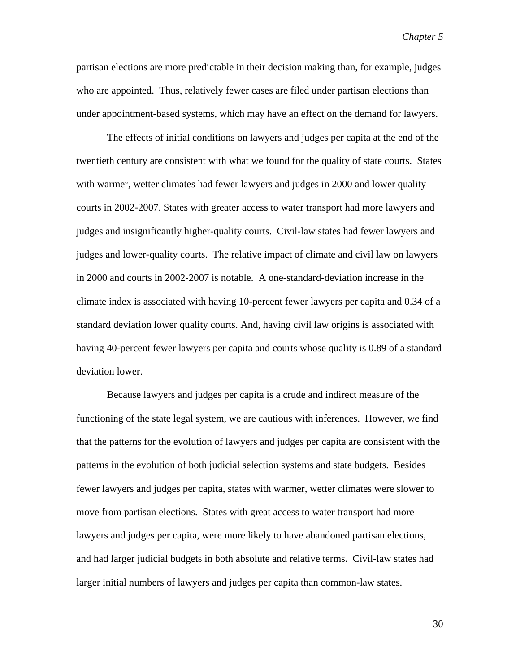partisan elections are more predictable in their decision making than, for example, judges who are appointed. Thus, relatively fewer cases are filed under partisan elections than under appointment-based systems, which may have an effect on the demand for lawyers.

The effects of initial conditions on lawyers and judges per capita at the end of the twentieth century are consistent with what we found for the quality of state courts. States with warmer, wetter climates had fewer lawyers and judges in 2000 and lower quality courts in 2002-2007. States with greater access to water transport had more lawyers and judges and insignificantly higher-quality courts. Civil-law states had fewer lawyers and judges and lower-quality courts. The relative impact of climate and civil law on lawyers in 2000 and courts in 2002-2007 is notable. A one-standard-deviation increase in the climate index is associated with having 10-percent fewer lawyers per capita and 0.34 of a standard deviation lower quality courts. And, having civil law origins is associated with having 40-percent fewer lawyers per capita and courts whose quality is 0.89 of a standard deviation lower.

Because lawyers and judges per capita is a crude and indirect measure of the functioning of the state legal system, we are cautious with inferences. However, we find that the patterns for the evolution of lawyers and judges per capita are consistent with the patterns in the evolution of both judicial selection systems and state budgets. Besides fewer lawyers and judges per capita, states with warmer, wetter climates were slower to move from partisan elections. States with great access to water transport had more lawyers and judges per capita, were more likely to have abandoned partisan elections, and had larger judicial budgets in both absolute and relative terms. Civil-law states had larger initial numbers of lawyers and judges per capita than common-law states.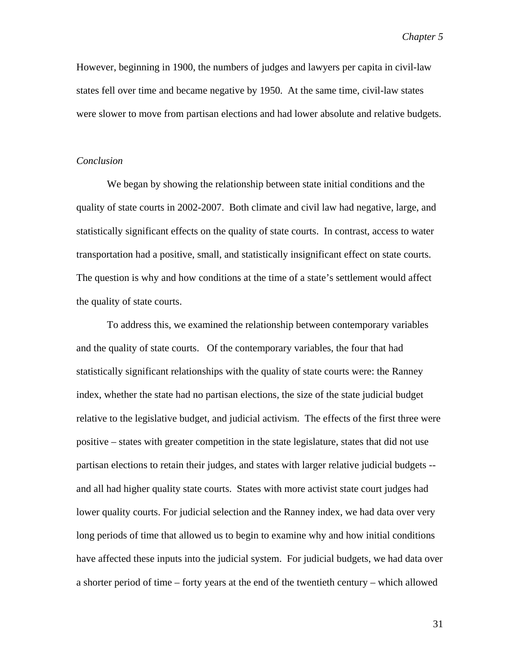However, beginning in 1900, the numbers of judges and lawyers per capita in civil-law states fell over time and became negative by 1950. At the same time, civil-law states were slower to move from partisan elections and had lower absolute and relative budgets.

### *Conclusion*

 We began by showing the relationship between state initial conditions and the quality of state courts in 2002-2007. Both climate and civil law had negative, large, and statistically significant effects on the quality of state courts. In contrast, access to water transportation had a positive, small, and statistically insignificant effect on state courts. The question is why and how conditions at the time of a state's settlement would affect the quality of state courts.

 To address this, we examined the relationship between contemporary variables and the quality of state courts. Of the contemporary variables, the four that had statistically significant relationships with the quality of state courts were: the Ranney index, whether the state had no partisan elections, the size of the state judicial budget relative to the legislative budget, and judicial activism. The effects of the first three were positive – states with greater competition in the state legislature, states that did not use partisan elections to retain their judges, and states with larger relative judicial budgets - and all had higher quality state courts. States with more activist state court judges had lower quality courts. For judicial selection and the Ranney index, we had data over very long periods of time that allowed us to begin to examine why and how initial conditions have affected these inputs into the judicial system. For judicial budgets, we had data over a shorter period of time – forty years at the end of the twentieth century – which allowed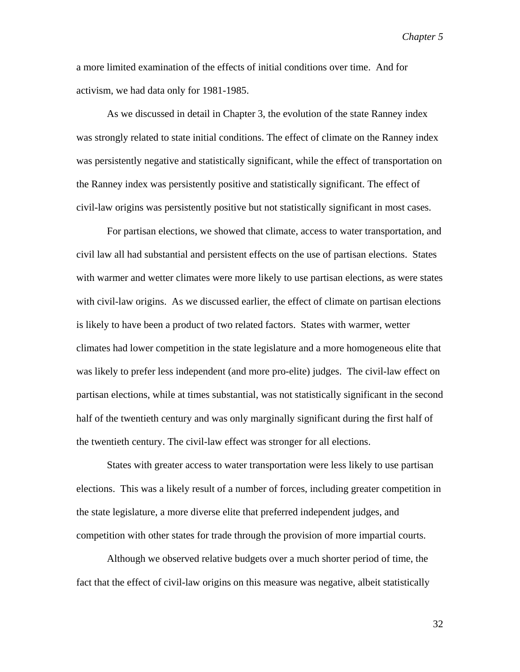a more limited examination of the effects of initial conditions over time. And for activism, we had data only for 1981-1985.

 As we discussed in detail in Chapter 3, the evolution of the state Ranney index was strongly related to state initial conditions. The effect of climate on the Ranney index was persistently negative and statistically significant, while the effect of transportation on the Ranney index was persistently positive and statistically significant. The effect of civil-law origins was persistently positive but not statistically significant in most cases.

For partisan elections, we showed that climate, access to water transportation, and civil law all had substantial and persistent effects on the use of partisan elections. States with warmer and wetter climates were more likely to use partisan elections, as were states with civil-law origins. As we discussed earlier, the effect of climate on partisan elections is likely to have been a product of two related factors. States with warmer, wetter climates had lower competition in the state legislature and a more homogeneous elite that was likely to prefer less independent (and more pro-elite) judges. The civil-law effect on partisan elections, while at times substantial, was not statistically significant in the second half of the twentieth century and was only marginally significant during the first half of the twentieth century. The civil-law effect was stronger for all elections.

States with greater access to water transportation were less likely to use partisan elections. This was a likely result of a number of forces, including greater competition in the state legislature, a more diverse elite that preferred independent judges, and competition with other states for trade through the provision of more impartial courts.

 Although we observed relative budgets over a much shorter period of time, the fact that the effect of civil-law origins on this measure was negative, albeit statistically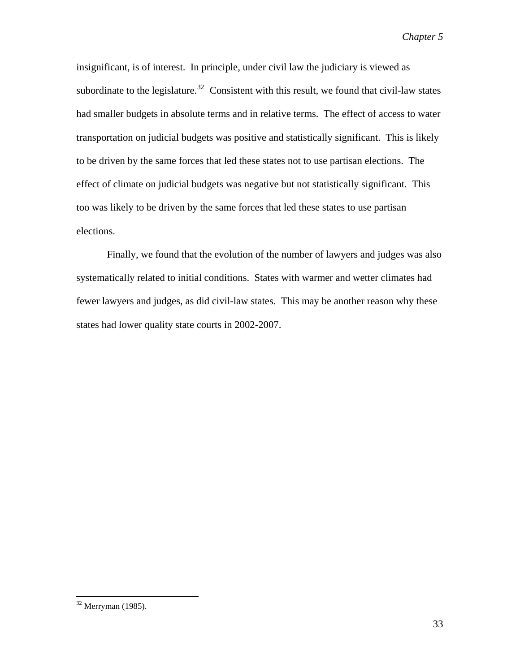insignificant, is of interest. In principle, under civil law the judiciary is viewed as subordinate to the legislature.<sup>[32](#page-32-0)</sup> Consistent with this result, we found that civil-law states had smaller budgets in absolute terms and in relative terms. The effect of access to water transportation on judicial budgets was positive and statistically significant. This is likely to be driven by the same forces that led these states not to use partisan elections. The effect of climate on judicial budgets was negative but not statistically significant. This too was likely to be driven by the same forces that led these states to use partisan elections.

Finally, we found that the evolution of the number of lawyers and judges was also systematically related to initial conditions. States with warmer and wetter climates had fewer lawyers and judges, as did civil-law states. This may be another reason why these states had lower quality state courts in 2002-2007.

<span id="page-32-0"></span> $32$  Merryman (1985).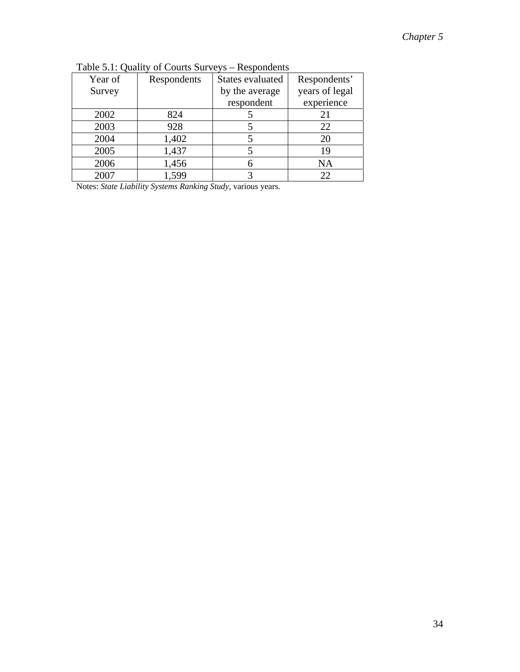| Year of | Respondents | States evaluated | Respondents'   |
|---------|-------------|------------------|----------------|
| Survey  |             | by the average   | years of legal |
|         |             | respondent       | experience     |
| 2002    | 824         |                  | 21             |
| 2003    | 928         |                  | 22             |
| 2004    | 1,402       |                  | 20             |
| 2005    | 1,437       |                  | 19             |
| 2006    | 1,456       |                  | NA             |
| 2007    | 1,599       |                  | 22             |

Table 5.1: Quality of Courts Surveys – Respondents

Notes: *State Liability Systems Ranking Study,* various years*.*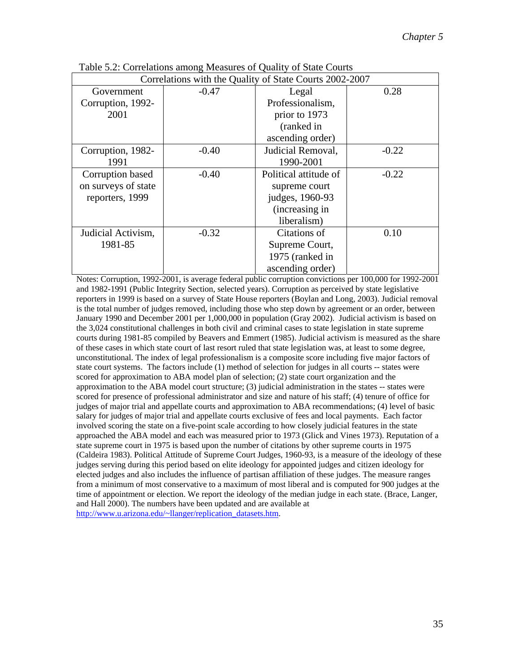| Correlations with the Quality of State Courts 2002-2007 |         |                       |         |  |
|---------------------------------------------------------|---------|-----------------------|---------|--|
| Government                                              | $-0.47$ | Legal                 | 0.28    |  |
| Corruption, 1992-                                       |         | Professionalism,      |         |  |
| 2001                                                    |         | prior to 1973         |         |  |
|                                                         |         | (ranked in            |         |  |
|                                                         |         | ascending order)      |         |  |
| Corruption, 1982-                                       | $-0.40$ | Judicial Removal,     | $-0.22$ |  |
| 1991                                                    |         | 1990-2001             |         |  |
| Corruption based                                        | $-0.40$ | Political attitude of | $-0.22$ |  |
| on surveys of state                                     |         | supreme court         |         |  |
| reporters, 1999                                         |         | judges, 1960-93       |         |  |
|                                                         |         | (increasing in        |         |  |
|                                                         |         | liberalism)           |         |  |
| Judicial Activism,                                      | $-0.32$ | Citations of          | 0.10    |  |
| 1981-85                                                 |         | Supreme Court,        |         |  |
|                                                         |         | 1975 (ranked in       |         |  |
|                                                         |         | ascending order)      |         |  |

Table 5.2: Correlations among Measures of Quality of State Courts

Notes: Corruption, 1992-2001, is average federal public corruption convictions per 100,000 for 1992-2001 and 1982-1991 (Public Integrity Section, selected years). Corruption as perceived by state legislative reporters in 1999 is based on a survey of State House reporters (Boylan and Long, 2003). Judicial removal is the total number of judges removed, including those who step down by agreement or an order, between January 1990 and December 2001 per 1,000,000 in population (Gray 2002). Judicial activism is based on the 3,024 constitutional challenges in both civil and criminal cases to state legislation in state supreme courts during 1981-85 compiled by Beavers and Emmert (1985). Judicial activism is measured as the share of these cases in which state court of last resort ruled that state legislation was, at least to some degree, unconstitutional. The index of legal professionalism is a composite score including five major factors of state court systems. The factors include (1) method of selection for judges in all courts -- states were scored for approximation to ABA model plan of selection; (2) state court organization and the approximation to the ABA model court structure; (3) judicial administration in the states -- states were scored for presence of professional administrator and size and nature of his staff; (4) tenure of office for judges of major trial and appellate courts and approximation to ABA recommendations; (4) level of basic salary for judges of major trial and appellate courts exclusive of fees and local payments. Each factor involved scoring the state on a five-point scale according to how closely judicial features in the state approached the ABA model and each was measured prior to 1973 (Glick and Vines 1973). Reputation of a state supreme court in 1975 is based upon the number of citations by other supreme courts in 1975 (Caldeira 1983). Political Attitude of Supreme Court Judges, 1960-93, is a measure of the ideology of these judges serving during this period based on elite ideology for appointed judges and citizen ideology for elected judges and also includes the influence of partisan affiliation of these judges. The measure ranges from a minimum of most conservative to a maximum of most liberal and is computed for 900 judges at the time of appointment or election. We report the ideology of the median judge in each state. (Brace, Langer, and Hall 2000). The numbers have been updated and are available at [http://www.u.arizona.edu/~llanger/replication\\_datasets.htm](http://www.u.arizona.edu/%7Ellanger/replication_datasets.htm).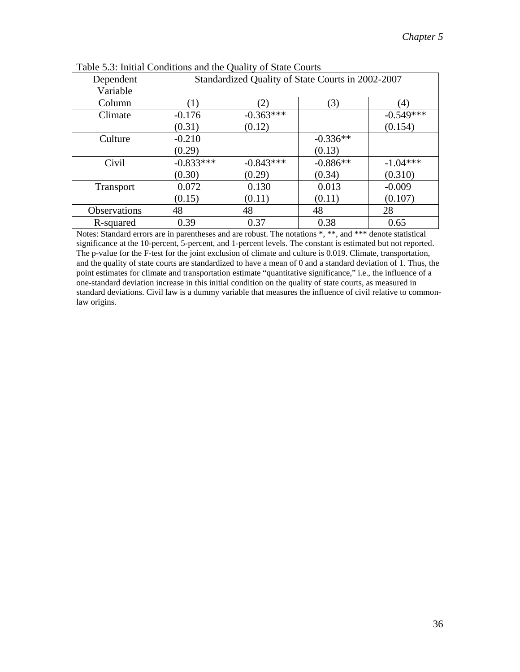| Dependent        | Standardized Quality of State Courts in 2002-2007 |             |            |             |
|------------------|---------------------------------------------------|-------------|------------|-------------|
| Variable         |                                                   |             |            |             |
| Column           |                                                   | (2)         | (3)        | (4)         |
| Climate          | $-0.176$                                          | $-0.363***$ |            | $-0.549***$ |
|                  | (0.31)                                            | (0.12)      |            | (0.154)     |
| Culture          | $-0.210$                                          |             | $-0.336**$ |             |
|                  | (0.29)                                            |             | (0.13)     |             |
| Civil            | $-0.833***$                                       | $-0.843***$ | $-0.886**$ | $-1.04***$  |
|                  | (0.30)                                            | (0.29)      | (0.34)     | (0.310)     |
| <b>Transport</b> | 0.072                                             | 0.130       | 0.013      | $-0.009$    |
|                  | (0.15)                                            | (0.11)      | (0.11)     | (0.107)     |
| Observations     | 48                                                | 48          | 48         | 28          |
| R-squared        | 0.39                                              | 0.37        | 0.38       | 0.65        |

Notes: Standard errors are in parentheses and are robust. The notations \*, \*\*, and \*\*\* denote statistical significance at the 10-percent, 5-percent, and 1-percent levels. The constant is estimated but not reported. The p-value for the F-test for the joint exclusion of climate and culture is 0.019. Climate, transportation, and the quality of state courts are standardized to have a mean of 0 and a standard deviation of 1. Thus, the point estimates for climate and transportation estimate "quantitative significance," i.e., the influence of a one-standard deviation increase in this initial condition on the quality of state courts, as measured in standard deviations. Civil law is a dummy variable that measures the influence of civil relative to commonlaw origins.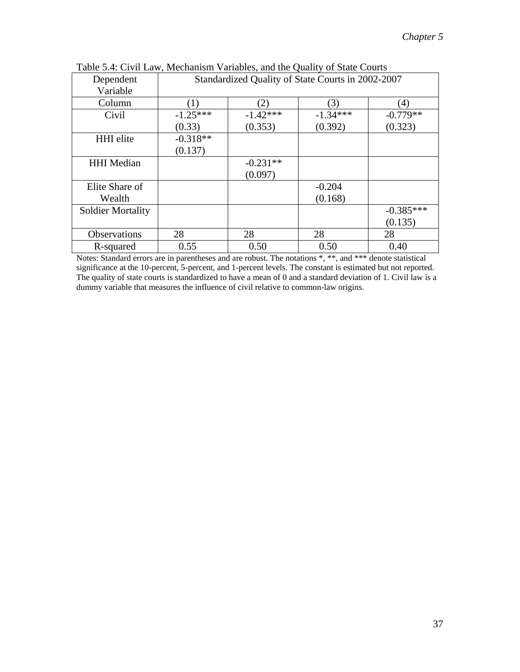| Dependent                | Standardized Quality of State Courts in 2002-2007 |            |                  |                  |
|--------------------------|---------------------------------------------------|------------|------------------|------------------|
| Variable                 |                                                   |            |                  |                  |
| Column                   | $\left(1\right)$                                  | (2)        | $\mathcal{L}(3)$ | $\left(4\right)$ |
| Civil                    | $-1.25***$                                        | $-1.42***$ | $-1.34***$       | $-0.779**$       |
|                          | (0.33)                                            | (0.353)    | (0.392)          | (0.323)          |
| <b>HHI</b> elite         | $-0.318**$                                        |            |                  |                  |
|                          | (0.137)                                           |            |                  |                  |
| <b>HHI</b> Median        |                                                   | $-0.231**$ |                  |                  |
|                          |                                                   | (0.097)    |                  |                  |
| Elite Share of           |                                                   |            | $-0.204$         |                  |
| Wealth                   |                                                   |            | (0.168)          |                  |
| <b>Soldier Mortality</b> |                                                   |            |                  | $-0.385***$      |
|                          |                                                   |            |                  | (0.135)          |
| <b>Observations</b>      | 28                                                | 28         | 28               | 28               |
| R-squared                | 0.55                                              | 0.50       | 0.50             | 0.40             |

Table 5.4: Civil Law, Mechanism Variables, and the Quality of State Courts

Notes: Standard errors are in parentheses and are robust. The notations \*, \*\*, and \*\*\* denote statistical significance at the 10-percent, 5-percent, and 1-percent levels. The constant is estimated but not reported. The quality of state courts is standardized to have a mean of 0 and a standard deviation of 1. Civil law is a dummy variable that measures the influence of civil relative to common-law origins.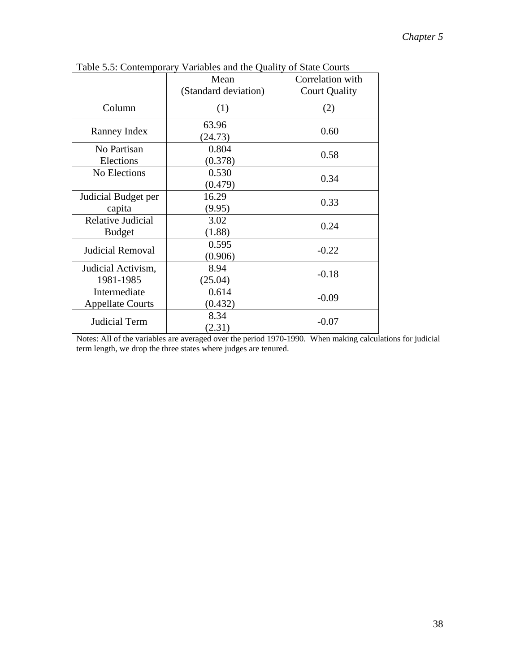|                         | Mean                 | Correlation with     |
|-------------------------|----------------------|----------------------|
|                         | (Standard deviation) | <b>Court Quality</b> |
| Column                  | (1)                  | (2)                  |
| Ranney Index            | 63.96<br>(24.73)     | 0.60                 |
| No Partisan             | 0.804                | 0.58                 |
| Elections               | (0.378)              |                      |
| No Elections            | 0.530                | 0.34                 |
|                         | (0.479)              |                      |
| Judicial Budget per     | 16.29                | 0.33                 |
| capita                  | (9.95)               |                      |
| Relative Judicial       | 3.02                 | 0.24                 |
| <b>Budget</b>           | (1.88)               |                      |
| <b>Judicial Removal</b> | 0.595                | $-0.22$              |
|                         | (0.906)              |                      |
| Judicial Activism,      | 8.94                 | $-0.18$              |
| 1981-1985               | (25.04)              |                      |
| Intermediate            | 0.614                |                      |
| <b>Appellate Courts</b> | (0.432)              | $-0.09$              |
| <b>Judicial Term</b>    | 8.34<br>(2.31)       | $-0.07$              |
|                         |                      |                      |

Table 5.5: Contemporary Variables and the Quality of State Courts

Notes: All of the variables are averaged over the period 1970-1990. When making calculations for judicial term length, we drop the three states where judges are tenured.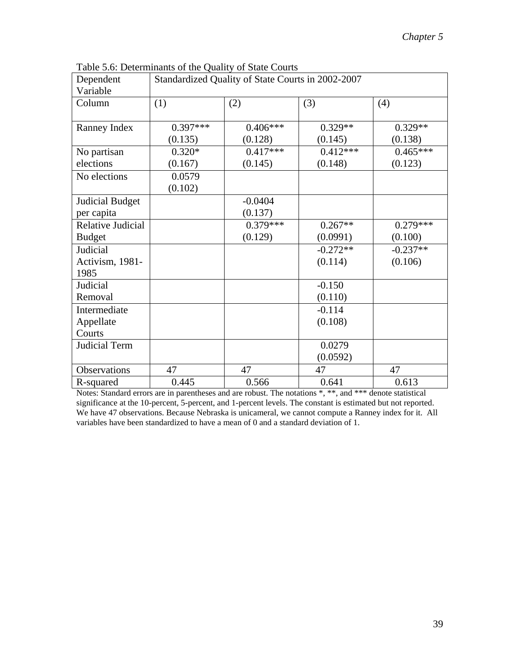| Dependent<br>Variable  | Standardized Quality of State Courts in 2002-2007 |            |            |            |
|------------------------|---------------------------------------------------|------------|------------|------------|
| Column                 | (1)                                               | (2)        | (3)        | (4)        |
| Ranney Index           | $0.397***$                                        | $0.406***$ | $0.329**$  | $0.329**$  |
|                        | (0.135)                                           | (0.128)    | (0.145)    | (0.138)    |
| No partisan            | $0.320*$                                          | $0.417***$ | $0.412***$ | $0.465***$ |
| elections              | (0.167)                                           | (0.145)    | (0.148)    | (0.123)    |
| No elections           | 0.0579                                            |            |            |            |
|                        | (0.102)                                           |            |            |            |
| <b>Judicial Budget</b> |                                                   | $-0.0404$  |            |            |
| per capita             |                                                   | (0.137)    |            |            |
| Relative Judicial      |                                                   | $0.379***$ | $0.267**$  | $0.279***$ |
| <b>Budget</b>          |                                                   | (0.129)    | (0.0991)   | (0.100)    |
| Judicial               |                                                   |            | $-0.272**$ | $-0.237**$ |
| Activism, 1981-        |                                                   |            | (0.114)    | (0.106)    |
| 1985                   |                                                   |            |            |            |
| Judicial               |                                                   |            | $-0.150$   |            |
| Removal                |                                                   |            | (0.110)    |            |
| Intermediate           |                                                   |            | $-0.114$   |            |
| Appellate              |                                                   |            | (0.108)    |            |
| Courts                 |                                                   |            |            |            |
| Judicial Term          |                                                   |            | 0.0279     |            |
|                        |                                                   |            | (0.0592)   |            |
| Observations           | 47                                                | 47         | 47         | 47         |
| R-squared              | 0.445                                             | 0.566      | 0.641      | 0.613      |

Table 5.6: Determinants of the Quality of State Courts

Notes: Standard errors are in parentheses and are robust. The notations  $*, **$ , and  $***$  denote statistical significance at the 10-percent, 5-percent, and 1-percent levels. The constant is estimated but not reported. We have 47 observations. Because Nebraska is unicameral, we cannot compute a Ranney index for it. All variables have been standardized to have a mean of 0 and a standard deviation of 1.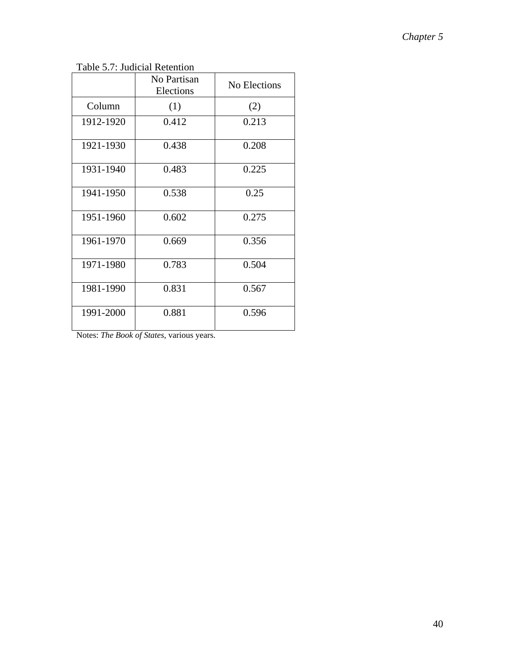Table 5.7: Judicial Retention

|           | No Partisan<br>Elections | <b>No Elections</b> |
|-----------|--------------------------|---------------------|
| Column    | (1)                      | (2)                 |
| 1912-1920 | 0.412                    | 0.213               |
| 1921-1930 | 0.438                    | 0.208               |
| 1931-1940 | 0.483                    | 0.225               |
| 1941-1950 | 0.538                    | 0.25                |
| 1951-1960 | 0.602                    | 0.275               |
| 1961-1970 | 0.669                    | 0.356               |
| 1971-1980 | 0.783                    | 0.504               |
| 1981-1990 | 0.831                    | 0.567               |
| 1991-2000 | 0.881                    | 0.596               |

Notes: *The Book of States*, various years.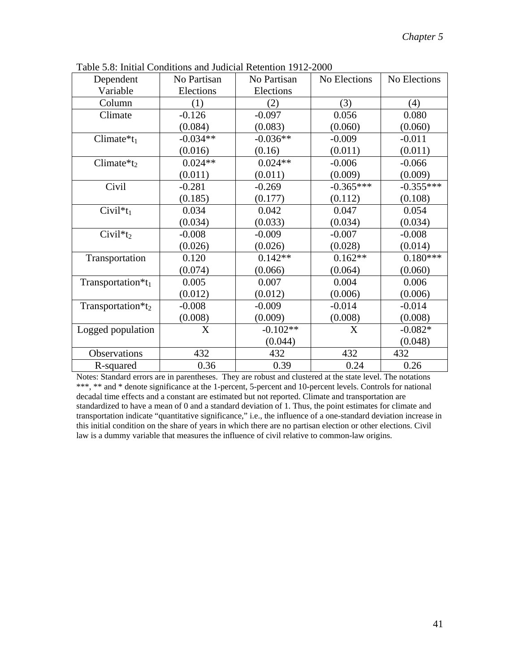| Dependent                | No Partisan | No Partisan | No Elections | No Elections |
|--------------------------|-------------|-------------|--------------|--------------|
| Variable                 | Elections   | Elections   |              |              |
| Column                   | (1)         | (2)         | (3)          | (4)          |
| Climate                  | $-0.126$    | $-0.097$    | 0.056        | 0.080        |
|                          | (0.084)     | (0.083)     | (0.060)      | (0.060)      |
| Climate $*_{t_1}$        | $-0.034**$  | $-0.036**$  | $-0.009$     | $-0.011$     |
|                          | (0.016)     | (0.16)      | (0.011)      | (0.011)      |
| Climate $*_t_2$          | $0.024**$   | $0.024**$   | $-0.006$     | $-0.066$     |
|                          | (0.011)     | (0.011)     | (0.009)      | (0.009)      |
| Civil                    | $-0.281$    | $-0.269$    | $-0.365***$  | $-0.355***$  |
|                          | (0.185)     | (0.177)     | (0.112)      | (0.108)      |
| Civil <sup>*</sup> $t_1$ | 0.034       | 0.042       | 0.047        | 0.054        |
|                          | (0.034)     | (0.033)     | (0.034)      | (0.034)      |
| Civil <sup>*</sup> $t_2$ | $-0.008$    | $-0.009$    | $-0.007$     | $-0.008$     |
|                          | (0.026)     | (0.026)     | (0.028)      | (0.014)      |
| Transportation           | 0.120       | $0.142**$   | $0.162**$    | $0.180***$   |
|                          | (0.074)     | (0.066)     | (0.064)      | (0.060)      |
| Transportation* $t_1$    | 0.005       | 0.007       | 0.004        | 0.006        |
|                          | (0.012)     | (0.012)     | (0.006)      | (0.006)      |
| Transportation* $t_2$    | $-0.008$    | $-0.009$    | $-0.014$     | $-0.014$     |
|                          | (0.008)     | (0.009)     | (0.008)      | (0.008)      |
| Logged population        | X           | $-0.102**$  | X            | $-0.082*$    |
|                          |             | (0.044)     |              | (0.048)      |
| Observations             | 432         | 432         | 432          | 432          |
| R-squared                | 0.36        | 0.39        | 0.24         | 0.26         |

Table 5.8: Initial Conditions and Judicial Retention 1912-2000

Notes: Standard errors are in parentheses. They are robust and clustered at the state level. The notations \*\*\*, \*\* and \* denote significance at the 1-percent, 5-percent and 10-percent levels. Controls for national decadal time effects and a constant are estimated but not reported. Climate and transportation are standardized to have a mean of 0 and a standard deviation of 1. Thus, the point estimates for climate and transportation indicate "quantitative significance," i.e., the influence of a one-standard deviation increase in this initial condition on the share of years in which there are no partisan election or other elections. Civil law is a dummy variable that measures the influence of civil relative to common-law origins.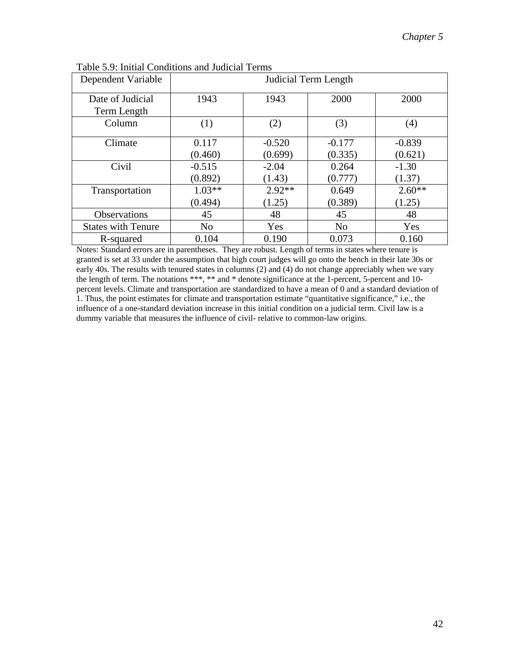| Dependent Variable              | Judicial Term Length |                     |                     |                     |
|---------------------------------|----------------------|---------------------|---------------------|---------------------|
| Date of Judicial<br>Term Length | 1943                 | 1943                | 2000                | 2000                |
| Column                          | (1)                  | (2)                 | (3)                 | (4)                 |
| Climate                         | 0.117<br>(0.460)     | $-0.520$<br>(0.699) | $-0.177$<br>(0.335) | $-0.839$<br>(0.621) |
| Civil                           | $-0.515$<br>(0.892)  | $-2.04$<br>(1.43)   | 0.264<br>(0.777)    | $-1.30$<br>(1.37)   |
| Transportation                  | $1.03**$<br>(0.494)  | $2.92**$<br>(1.25)  | 0.649<br>(0.389)    | $2.60**$<br>(1.25)  |
| <b>Observations</b>             | 45                   | 48                  | 45                  | 48                  |
| <b>States with Tenure</b>       | N <sub>o</sub>       | Yes                 | N <sub>o</sub>      | Yes                 |
| R-squared                       | 0.104                | 0.190               | 0.073               | 0.160               |

Notes: Standard errors are in parentheses. They are robust. Length of terms in states where tenure is granted is set at 33 under the assumption that high court judges will go onto the bench in their late 30s or early 40s. The results with tenured states in columns (2) and (4) do not change appreciably when we vary the length of term. The notations \*\*\*, \*\* and \* denote significance at the 1-percent, 5-percent and 10 percent levels. Climate and transportation are standardized to have a mean of 0 and a standard deviation of 1. Thus, the point estimates for climate and transportation estimate "quantitative significance," i.e., the influence of a one-standard deviation increase in this initial condition on a judicial term. Civil law is a dummy variable that measures the influence of civil- relative to common-law origins.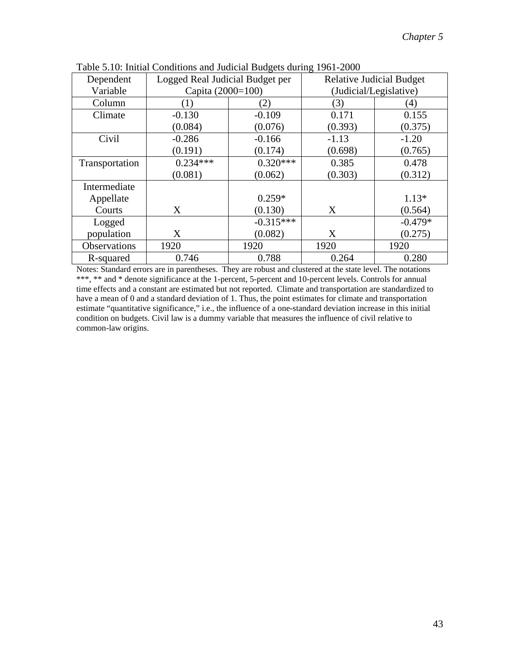| Dependent      | Logged Real Judicial Budget per |             |                        | <b>Relative Judicial Budget</b> |
|----------------|---------------------------------|-------------|------------------------|---------------------------------|
| Variable       | Capita (2000=100)               |             | (Judicial/Legislative) |                                 |
| Column         | (1)                             | (2)         | (3)                    | (4)                             |
| Climate        | $-0.130$                        | $-0.109$    | 0.171                  | 0.155                           |
|                | (0.084)                         | (0.076)     | (0.393)                | (0.375)                         |
| Civil          | $-0.286$                        | $-0.166$    | $-1.13$                | $-1.20$                         |
|                | (0.191)                         | (0.174)     | (0.698)                | (0.765)                         |
| Transportation | $0.234***$                      | $0.320***$  | 0.385                  | 0.478                           |
|                | (0.081)                         | (0.062)     | (0.303)                | (0.312)                         |
| Intermediate   |                                 |             |                        |                                 |
| Appellate      |                                 | $0.259*$    |                        | $1.13*$                         |
| Courts         | X                               | (0.130)     | X                      | (0.564)                         |
| Logged         |                                 | $-0.315***$ |                        | $-0.479*$                       |
| population     | X                               | (0.082)     | X                      | (0.275)                         |
| Observations   | 1920                            | 1920        | 1920                   | 1920                            |
| R-squared      | 0.746                           | 0.788       | 0.264                  | 0.280                           |

Table 5.10: Initial Conditions and Judicial Budgets during 1961-2000

Notes: Standard errors are in parentheses. They are robust and clustered at the state level. The notations \*\*\*, \*\* and \* denote significance at the 1-percent, 5-percent and 10-percent levels. Controls for annual time effects and a constant are estimated but not reported. Climate and transportation are standardized to have a mean of 0 and a standard deviation of 1. Thus, the point estimates for climate and transportation estimate "quantitative significance," i.e., the influence of a one-standard deviation increase in this initial condition on budgets. Civil law is a dummy variable that measures the influence of civil relative to common-law origins.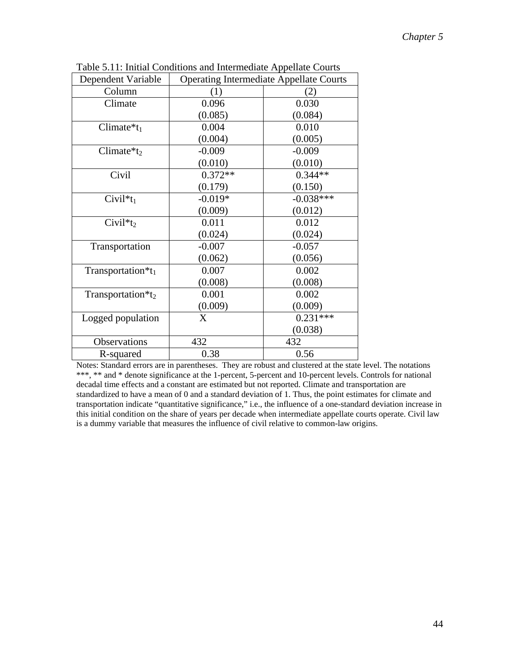| Dependent Variable            | <b>Operating Intermediate Appellate Courts</b> |             |  |
|-------------------------------|------------------------------------------------|-------------|--|
| Column                        | (1)                                            | (2)         |  |
| Climate                       | 0.096                                          | 0.030       |  |
|                               | (0.085)                                        | (0.084)     |  |
| Climate $*_{t_1}$             | 0.004                                          | 0.010       |  |
|                               | (0.004)                                        | (0.005)     |  |
| Climate $*_t_2$               | $-0.009$                                       | $-0.009$    |  |
|                               | (0.010)                                        | (0.010)     |  |
| Civil                         | $0.372**$                                      | $0.344**$   |  |
|                               | (0.179)                                        | (0.150)     |  |
| $Civil*t_1$                   | $-0.019*$                                      | $-0.038***$ |  |
|                               | (0.009)                                        | (0.012)     |  |
| $Civil*t_2$                   | 0.011                                          | 0.012       |  |
|                               | (0.024)                                        | (0.024)     |  |
| Transportation                | $-0.007$                                       | $-0.057$    |  |
|                               | (0.062)                                        | (0.056)     |  |
| Transportation*t <sub>1</sub> | 0.007                                          | 0.002       |  |
|                               | (0.008)                                        | (0.008)     |  |
| Transportation*t2             | 0.001                                          | 0.002       |  |
|                               | (0.009)                                        | (0.009)     |  |
| Logged population             | X                                              | $0.231***$  |  |
|                               |                                                | (0.038)     |  |
| Observations                  | 432                                            | 432         |  |
| R-squared                     | 0.38                                           | 0.56        |  |

Table 5.11: Initial Conditions and Intermediate Appellate Courts

Notes: Standard errors are in parentheses. They are robust and clustered at the state level. The notations \*\*\*, \*\* and \* denote significance at the 1-percent, 5-percent and 10-percent levels. Controls for national decadal time effects and a constant are estimated but not reported. Climate and transportation are standardized to have a mean of 0 and a standard deviation of 1. Thus, the point estimates for climate and transportation indicate "quantitative significance," i.e., the influence of a one-standard deviation increase in this initial condition on the share of years per decade when intermediate appellate courts operate. Civil law is a dummy variable that measures the influence of civil relative to common-law origins.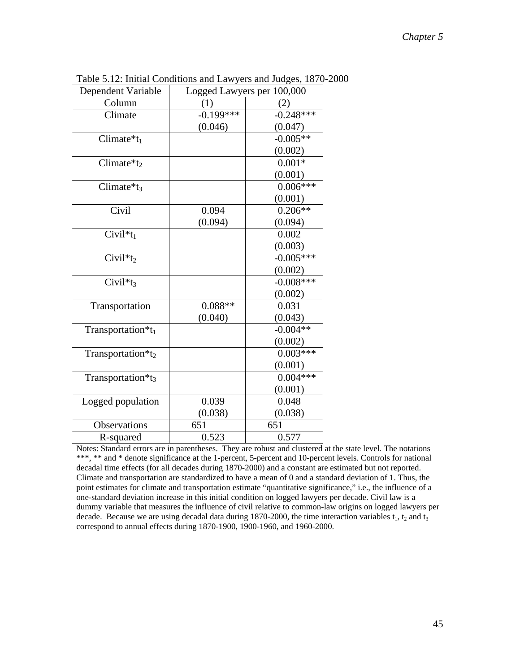| Dependent Variable            | Logged Lawyers per 100,000 |             |  |
|-------------------------------|----------------------------|-------------|--|
| Column                        | (1)                        | (2)         |  |
| Climate                       | $-0.199***$                | $-0.248***$ |  |
|                               | (0.046)                    | (0.047)     |  |
| Climate $*_{t_1}$             |                            | $-0.005**$  |  |
|                               |                            | (0.002)     |  |
| Climate $*_{t_2}$             |                            | $0.001*$    |  |
|                               |                            | (0.001)     |  |
| Climate $*_1$                 |                            | $0.006***$  |  |
|                               |                            | (0.001)     |  |
| Civil                         | 0.094                      | $0.206**$   |  |
|                               | (0.094)                    | (0.094)     |  |
| $Civil*t_1$                   |                            | 0.002       |  |
|                               |                            | (0.003)     |  |
| $Civil*t_2$                   |                            | $-0.005***$ |  |
|                               |                            | (0.002)     |  |
| Civil <sup>*</sup> $t_3$      |                            | $-0.008***$ |  |
|                               |                            | (0.002)     |  |
| Transportation                | $0.088**$                  | 0.031       |  |
|                               | (0.040)                    | (0.043)     |  |
| Transportation*t1             |                            | $-0.004**$  |  |
|                               |                            | (0.002)     |  |
| Transportation*t2             |                            | $0.003***$  |  |
|                               |                            | (0.001)     |  |
| Transportation*t <sub>3</sub> |                            | $0.004***$  |  |
|                               |                            | (0.001)     |  |
| Logged population             | 0.039                      | 0.048       |  |
|                               | (0.038)                    | (0.038)     |  |
| Observations                  | 651                        | 651         |  |
| R-squared                     | 0.523                      | 0.577       |  |

Table 5.12: Initial Conditions and Lawyers and Judges, 1870-2000

Notes: Standard errors are in parentheses. They are robust and clustered at the state level. The notations \*\*\*, \*\* and \* denote significance at the 1-percent, 5-percent and 10-percent levels. Controls for national decadal time effects (for all decades during 1870-2000) and a constant are estimated but not reported. Climate and transportation are standardized to have a mean of 0 and a standard deviation of 1. Thus, the point estimates for climate and transportation estimate "quantitative significance," i.e., the influence of a one-standard deviation increase in this initial condition on logged lawyers per decade. Civil law is a dummy variable that measures the influence of civil relative to common-law origins on logged lawyers per decade. Because we are using decadal data during 1870-2000, the time interaction variables  $t_1$ ,  $t_2$  and  $t_3$ correspond to annual effects during 1870-1900, 1900-1960, and 1960-2000.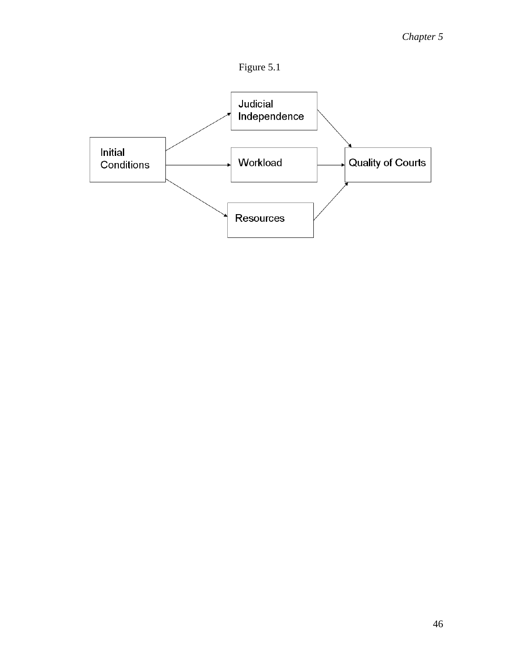

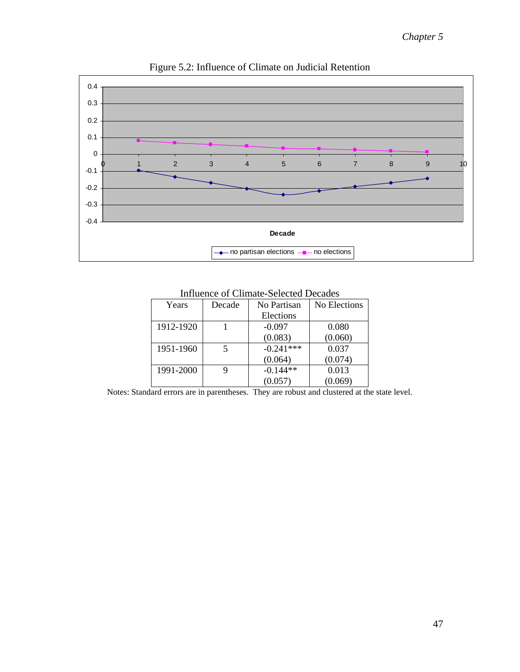

Figure 5.2: Influence of Climate on Judicial Retention

| Years     | Decade | No Partisan | No Elections |
|-----------|--------|-------------|--------------|
|           |        | Elections   |              |
| 1912-1920 |        | $-0.097$    | 0.080        |
|           |        | (0.083)     | (0.060)      |
| 1951-1960 |        | $-0.241***$ | 0.037        |
|           |        | (0.064)     | (0.074)      |
| 1991-2000 |        | $-0.144**$  | 0.013        |
|           |        | (0.057)     | (0.069)      |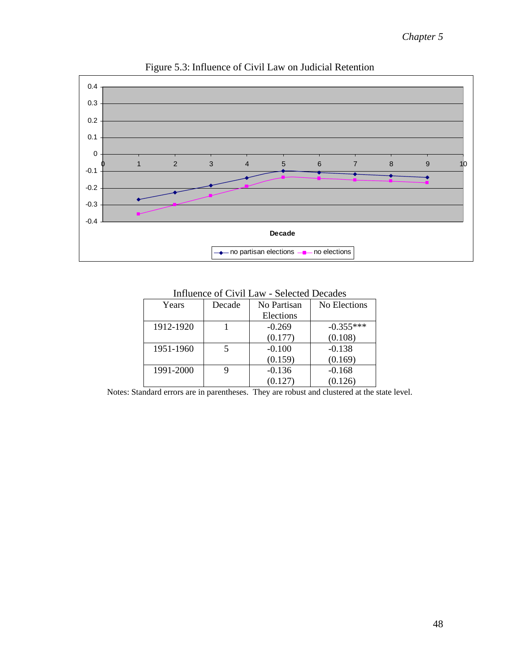

Figure 5.3: Influence of Civil Law on Judicial Retention

| Years     | Decade | No Partisan | No Elections |
|-----------|--------|-------------|--------------|
|           |        | Elections   |              |
| 1912-1920 |        | $-0.269$    | $-0.355***$  |
|           |        | (0.177)     | (0.108)      |
| 1951-1960 |        | $-0.100$    | $-0.138$     |
|           |        | (0.159)     | (0.169)      |
| 1991-2000 |        | $-0.136$    | $-0.168$     |
|           |        | (0.127)     | (0.126)      |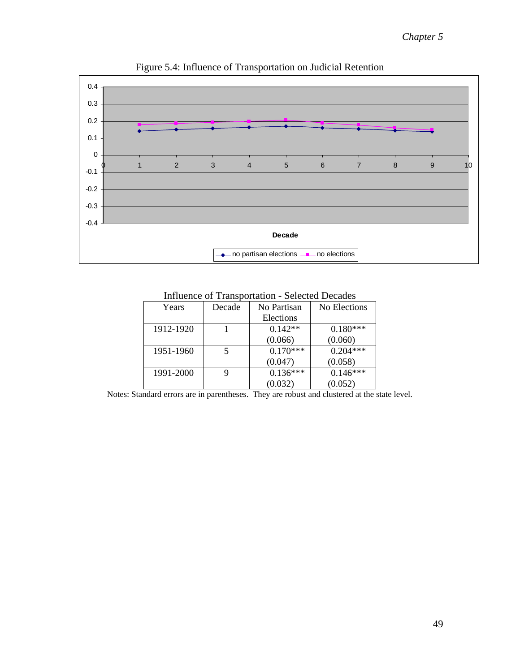

Figure 5.4: Influence of Transportation on Judicial Retention

Influence of Transportation - Selected Decades

| Years     | Decade | No Partisan | No Elections |
|-----------|--------|-------------|--------------|
|           |        | Elections   |              |
| 1912-1920 |        | $0.142**$   | $0.180***$   |
|           |        | (0.066)     | (0.060)      |
| 1951-1960 |        | $0.170***$  | $0.204***$   |
|           |        | (0.047)     | (0.058)      |
| 1991-2000 |        | $0.136***$  | $0.146***$   |
|           |        | (0.032)     | (0.052)      |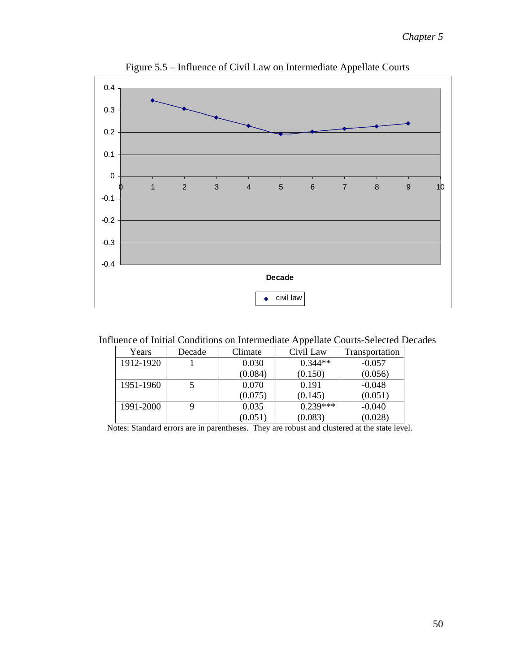

Figure 5.5 – Influence of Civil Law on Intermediate Appellate Courts

| Years     | Decade | Climate | Civil Law  | Transportation |
|-----------|--------|---------|------------|----------------|
| 1912-1920 |        | 0.030   | $0.344**$  | $-0.057$       |
|           |        | (0.084) | (0.150)    | (0.056)        |
| 1951-1960 |        | 0.070   | 0.191      | $-0.048$       |
|           |        | (0.075) | (0.145)    | (0.051)        |
| 1991-2000 |        | 0.035   | $0.239***$ | $-0.040$       |
|           |        | (0.051) | (0.083)    | (0.028)        |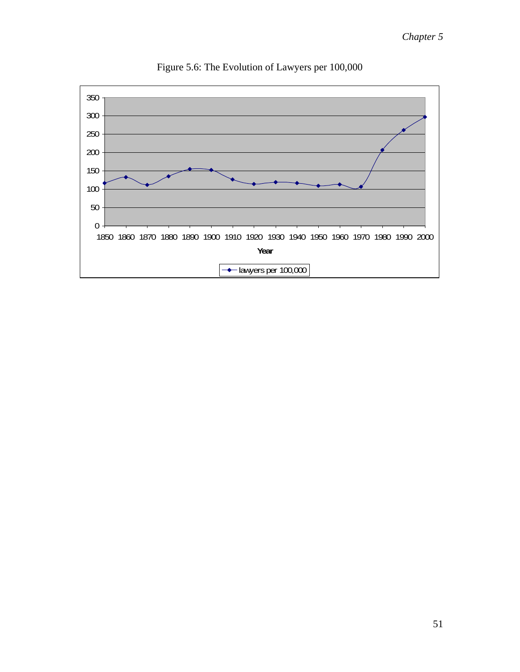

Figure 5.6: The Evolution of Lawyers per 100,000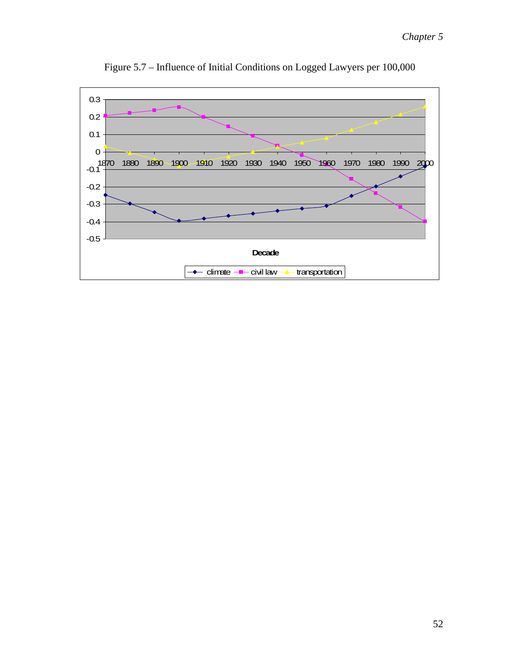

Figure 5.7 – Influence of Initial Conditions on Logged Lawyers per 100,000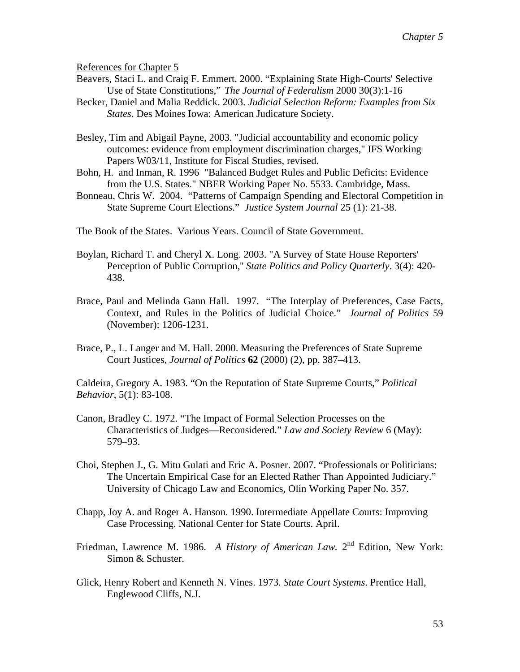References for Chapter 5

- Beavers, Staci L. and Craig F. Emmert. 2000. "Explaining State High-Courts' Selective Use of State Constitutions," *The Journal of Federalism* 2000 30(3):1-16
- Becker, Daniel and Malia Reddick. 2003. *Judicial Selection Reform: Examples from Six States.* Des Moines Iowa: American Judicature Society.
- Besley, Tim and Abigail Payne, 2003. ["Judicial accountability and economic policy](http://ideas.repec.org/p/ifs/ifsewp/03-11.html)  [outcomes: evidence from employment discrimination charges](http://ideas.repec.org/p/ifs/ifsewp/03-11.html)," [IFS Working](http://ideas.repec.org/s/ifs/ifsewp.html)  [Papers](http://ideas.repec.org/s/ifs/ifsewp.html) W03/11, Institute for Fiscal Studies, revised.
- Bohn, H. and Inman, R. 1996 "Balanced Budget Rules and Public Deficits: Evidence from the U.S. States." NBER Working Paper No. 5533. Cambridge, Mass.
- Bonneau, Chris W. 2004. "Patterns of Campaign Spending and Electoral Competition in State Supreme Court Elections." *Justice System Journal* 25 (1): 21-38.

The Book of the States. Various Years. Council of State Government.

- Boylan, Richard T. and Cheryl X. Long. 2003. "A Survey of State House Reporters' Perception of Public Corruption,'' *State Politics and Policy Quarterly*. 3(4): 420- 438.
- Brace, Paul and Melinda Gann Hall. 1997. "The Interplay of Preferences, Case Facts, Context, and Rules in the Politics of Judicial Choice." *Journal of Politics* 59 (November): 1206-1231.
- Brace, P., L. Langer and M. Hall. 2000. Measuring the Preferences of State Supreme Court Justices, *Journal of Politics* **62** (2000) (2), pp. 387–413.

Caldeira, Gregory A. 1983. "On the Reputation of State Supreme Courts," *Political Behavior*, 5(1): 83-108.

- Canon, Bradley C. 1972. "The Impact of Formal Selection Processes on the Characteristics of Judges—Reconsidered." *Law and Society Review* 6 (May): 579–93.
- Choi, Stephen J., G. Mitu Gulati and Eric A. Posner. 2007. "Professionals or Politicians: The Uncertain Empirical Case for an Elected Rather Than Appointed Judiciary." University of Chicago Law and Economics, Olin Working Paper No. 357.
- Chapp, Joy A. and Roger A. Hanson. 1990. Intermediate Appellate Courts: Improving Case Processing. National Center for State Courts. April.
- Friedman, Lawrence M. 1986. *A History of American Law.* 2<sup>nd</sup> Edition, New York: Simon & Schuster.
- Glick, Henry Robert and Kenneth N. Vines. 1973. *State Court Systems*. Prentice Hall, Englewood Cliffs, N.J.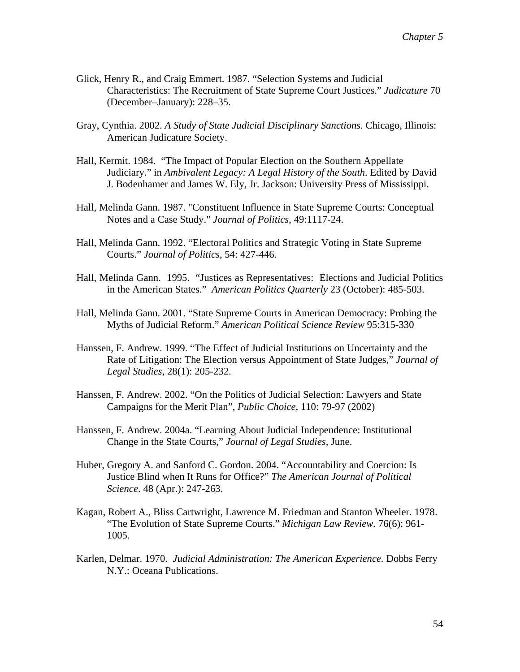- Glick, Henry R., and Craig Emmert. 1987. "Selection Systems and Judicial Characteristics: The Recruitment of State Supreme Court Justices." *Judicature* 70 (December–January): 228–35.
- Gray, Cynthia. 2002. *A Study of State Judicial Disciplinary Sanctions.* Chicago, Illinois: American Judicature Society.
- Hall, Kermit. 1984. "The Impact of Popular Election on the Southern Appellate Judiciary." in *Ambivalent Legacy: A Legal History of the South*. Edited by David J. Bodenhamer and James W. Ely, Jr. Jackson: University Press of Mississippi.
- Hall, Melinda Gann. 1987. "Constituent Influence in State Supreme Courts: Conceptual Notes and a Case Study." *Journal of Politics*, 49:1117-24.
- Hall, Melinda Gann. 1992. "Electoral Politics and Strategic Voting in State Supreme Courts." *Journal of Politics*, 54: 427-446.
- Hall, Melinda Gann. 1995. "Justices as Representatives: Elections and Judicial Politics in the American States." *American Politics Quarterly* 23 (October): 485-503.
- Hall, Melinda Gann. 2001. "State Supreme Courts in American Democracy: Probing the Myths of Judicial Reform." *American Political Science Review* 95:315-330
- Hanssen, F. Andrew. 1999. "The Effect of Judicial Institutions on Uncertainty and the Rate of Litigation: The Election versus Appointment of State Judges," *Journal of Legal Studies*, 28(1): 205-232.
- Hanssen, F. Andrew. 2002. "On the Politics of Judicial Selection: Lawyers and State Campaigns for the Merit Plan", *Public Choice*, 110: 79-97 (2002)
- Hanssen, F. Andrew. 2004a. "Learning About Judicial Independence: Institutional Change in the State Courts," *Journal of Legal Studies,* June.
- Huber, Gregory A. and Sanford C. Gordon. 2004. "Accountability and Coercion: Is Justice Blind when It Runs for Office?" *The American Journal of Political Science*. 48 (Apr.): 247-263.
- Kagan, Robert A., Bliss Cartwright, Lawrence M. Friedman and Stanton Wheeler. 1978. "The Evolution of State Supreme Courts." *Michigan Law Review.* 76(6): 961- 1005.
- Karlen, Delmar. 1970. *Judicial Administration: The American Experience.* Dobbs Ferry N.Y.: Oceana Publications.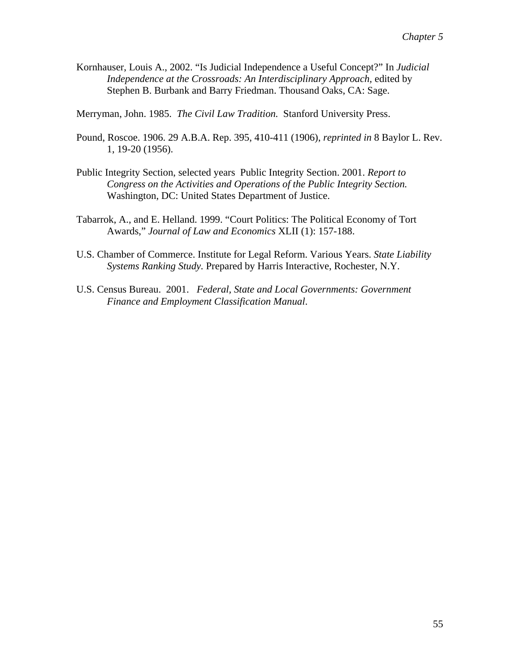Kornhauser, Louis A., 2002. "Is Judicial Independence a Useful Concept?" In *Judicial Independence at the Crossroads: An Interdisciplinary Approach,* edited by Stephen B. Burbank and Barry Friedman. Thousand Oaks, CA: Sage.

Merryman, John. 1985. *The Civil Law Tradition.* Stanford University Press.

- Pound, Roscoe. 1906. 29 A.B.A. Rep. 395, 410-411 (1906), *reprinted in* 8 Baylor L. Rev. 1, 19-20 (1956).
- Public Integrity Section, selected years Public Integrity Section. 2001. *Report to Congress on the Activities and Operations of the Public Integrity Section.*  Washington, DC: United States Department of Justice.
- Tabarrok, A., and E. Helland. 1999. "Court Politics: The Political Economy of Tort Awards," *Journal of Law and Economics* XLII (1): 157-188.
- U.S. Chamber of Commerce. Institute for Legal Reform. Various Years. *State Liability Systems Ranking Study.* Prepared by Harris Interactive, Rochester, N.Y.
- U.S. Census Bureau. 2001. *Federal, State and Local Governments: Government Finance and Employment Classification Manual*.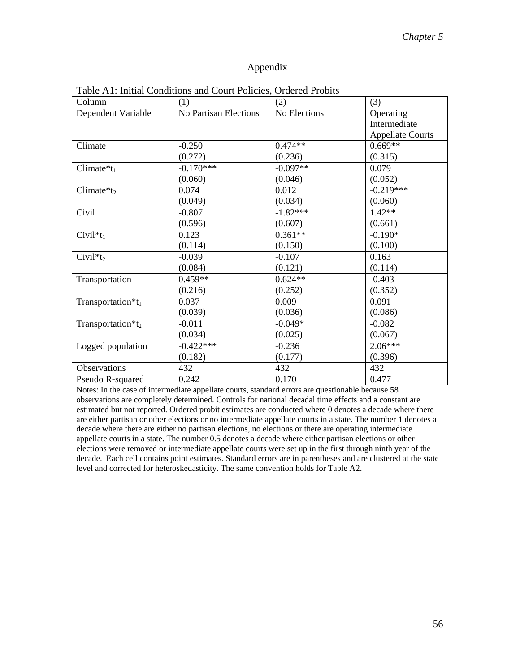# Appendix

| Column                   | (1)                   | (2)          | (3)                     |
|--------------------------|-----------------------|--------------|-------------------------|
| Dependent Variable       | No Partisan Elections | No Elections | Operating               |
|                          |                       |              | Intermediate            |
|                          |                       |              | <b>Appellate Courts</b> |
| Climate                  | $-0.250$              | $0.474**$    | $0.669**$               |
|                          | (0.272)               | (0.236)      | (0.315)                 |
| Climate $*_{t_1}$        | $-0.170***$           | $-0.097**$   | 0.079                   |
|                          | (0.060)               | (0.046)      | (0.052)                 |
| Climate $*_t_2$          | 0.074                 | 0.012        | $-0.219***$             |
|                          | (0.049)               | (0.034)      | (0.060)                 |
| Civil                    | $-0.807$              | $-1.82***$   | $1.42**$                |
|                          | (0.596)               | (0.607)      | (0.661)                 |
| Civil <sup>*</sup> $t_1$ | 0.123                 | $0.361**$    | $-0.190*$               |
|                          | (0.114)               | (0.150)      | (0.100)                 |
| $Civil*t_2$              | $-0.039$              | $-0.107$     | 0.163                   |
|                          | (0.084)               | (0.121)      | (0.114)                 |
| Transportation           | $0.459**$             | $0.624**$    | $-0.403$                |
|                          | (0.216)               | (0.252)      | (0.352)                 |
| Transportation* $t_1$    | 0.037                 | 0.009        | 0.091                   |
|                          | (0.039)               | (0.036)      | (0.086)                 |
| Transportation*t2        | $-0.011$              | $-0.049*$    | $-0.082$                |
|                          | (0.034)               | (0.025)      | (0.067)                 |
| Logged population        | $-0.422***$           | $-0.236$     | $2.06***$               |
|                          | (0.182)               | (0.177)      | (0.396)                 |
| Observations             | 432                   | 432          | 432                     |
| Pseudo R-squared         | 0.242                 | 0.170        | 0.477                   |

Table A1: Initial Conditions and Court Policies, Ordered Probits

Notes: In the case of intermediate appellate courts, standard errors are questionable because 58 observations are completely determined. Controls for national decadal time effects and a constant are estimated but not reported. Ordered probit estimates are conducted where 0 denotes a decade where there are either partisan or other elections or no intermediate appellate courts in a state. The number 1 denotes a decade where there are either no partisan elections, no elections or there are operating intermediate appellate courts in a state. The number 0.5 denotes a decade where either partisan elections or other elections were removed or intermediate appellate courts were set up in the first through ninth year of the decade. Each cell contains point estimates. Standard errors are in parentheses and are clustered at the state level and corrected for heteroskedasticity. The same convention holds for Table A2.